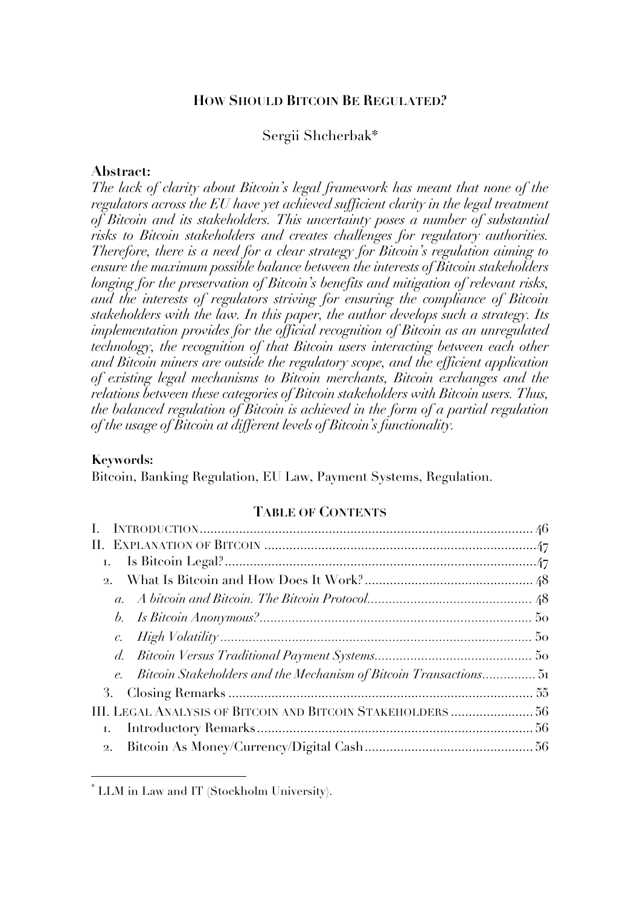#### **HOW SHOULD BITCOIN BE REGULATED?**

### Sergii Shcherbak\*

#### **Abstract:**

*The lack of clarity about Bitcoin's legal framework has meant that none of the regulators across the EU have yet achieved sufficient clarity in the legal treatment of Bitcoin and its stakeholders. This uncertainty poses a number of substantial risks to Bitcoin stakeholders and creates challenges for regulatory authorities. Therefore, there is a need for a clear strategy for Bitcoin's regulation aiming to ensure the maximum possible balance between the interests of Bitcoin stakeholders longing for the preservation of Bitcoin's benefits and mitigation of relevant risks, and the interests of regulators striving for ensuring the compliance of Bitcoin stakeholders with the law. In this paper, the author develops such a strategy. Its implementation provides for the official recognition of Bitcoin as an unregulated technology, the recognition of that Bitcoin users interacting between each other and Bitcoin miners are outside the regulatory scope, and the efficient application of existing legal mechanisms to Bitcoin merchants, Bitcoin exchanges and the relations between these categories of Bitcoin stakeholders with Bitcoin users. Thus, the balanced regulation of Bitcoin is achieved in the form of a partial regulation of the usage of Bitcoin at different levels of Bitcoin's functionality.*

#### **Keywords:**

Bitcoin, Banking Regulation, EU Law, Payment Systems, Regulation.

#### **TABLE OF CONTENTS**

| 2.                                                                |  |
|-------------------------------------------------------------------|--|
|                                                                   |  |
|                                                                   |  |
|                                                                   |  |
|                                                                   |  |
| Bitcoin Stakeholders and the Mechanism of Bitcoin Transactions 51 |  |
|                                                                   |  |
| III. LEGAL ANALYSIS OF BITCOIN AND BITCOIN STAKEHOLDERS  56       |  |
|                                                                   |  |
|                                                                   |  |

 <sup>\*</sup> LLM in Law and IT (Stockholm University).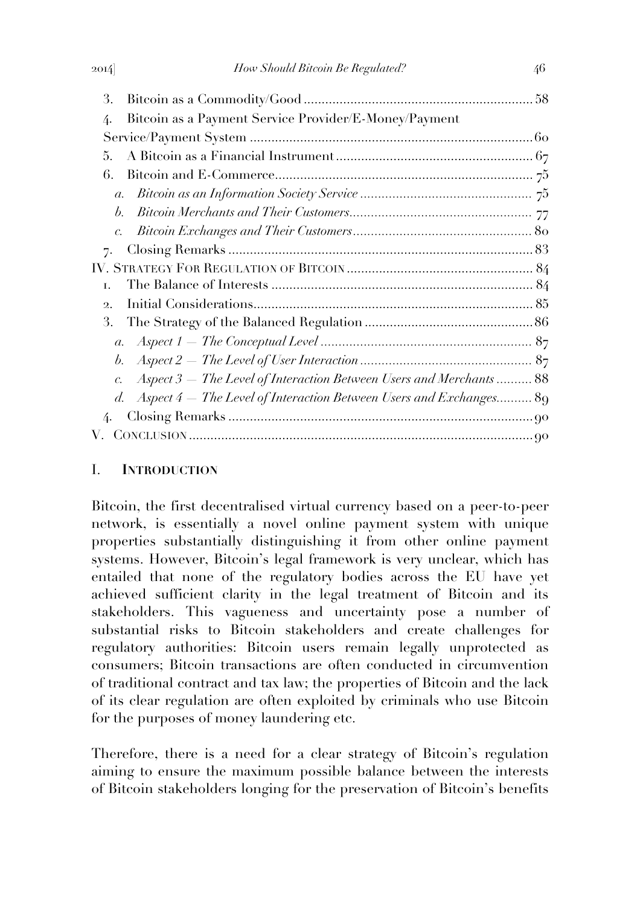| 3.                                                                                     |  |
|----------------------------------------------------------------------------------------|--|
| Bitcoin as a Payment Service Provider/E-Money/Payment<br>4.                            |  |
|                                                                                        |  |
| 5.                                                                                     |  |
| 6.                                                                                     |  |
| $a_{\cdot}$                                                                            |  |
| $\mathfrak{b}$ .                                                                       |  |
|                                                                                        |  |
| 7.                                                                                     |  |
|                                                                                        |  |
| Ι.                                                                                     |  |
| $\mathfrak{D}$ .                                                                       |  |
| 3.                                                                                     |  |
| $\mathfrak{a}.$                                                                        |  |
| $\mathfrak{b}.$                                                                        |  |
| Aspect 3 – The Level of Interaction Between Users and Merchants  88<br>$\mathcal{C}$ . |  |
| Aspect $4$ – The Level of Interaction Between Users and Exchanges 89<br>d.             |  |
| 4.                                                                                     |  |
|                                                                                        |  |
|                                                                                        |  |

## I. **INTRODUCTION**

Bitcoin, the first decentralised virtual currency based on a peer-to-peer network, is essentially a novel online payment system with unique properties substantially distinguishing it from other online payment systems. However, Bitcoin's legal framework is very unclear, which has entailed that none of the regulatory bodies across the EU have yet achieved sufficient clarity in the legal treatment of Bitcoin and its stakeholders. This vagueness and uncertainty pose a number of substantial risks to Bitcoin stakeholders and create challenges for regulatory authorities: Bitcoin users remain legally unprotected as consumers; Bitcoin transactions are often conducted in circumvention of traditional contract and tax law; the properties of Bitcoin and the lack of its clear regulation are often exploited by criminals who use Bitcoin for the purposes of money laundering etc.

Therefore, there is a need for a clear strategy of Bitcoin's regulation aiming to ensure the maximum possible balance between the interests of Bitcoin stakeholders longing for the preservation of Bitcoin's benefits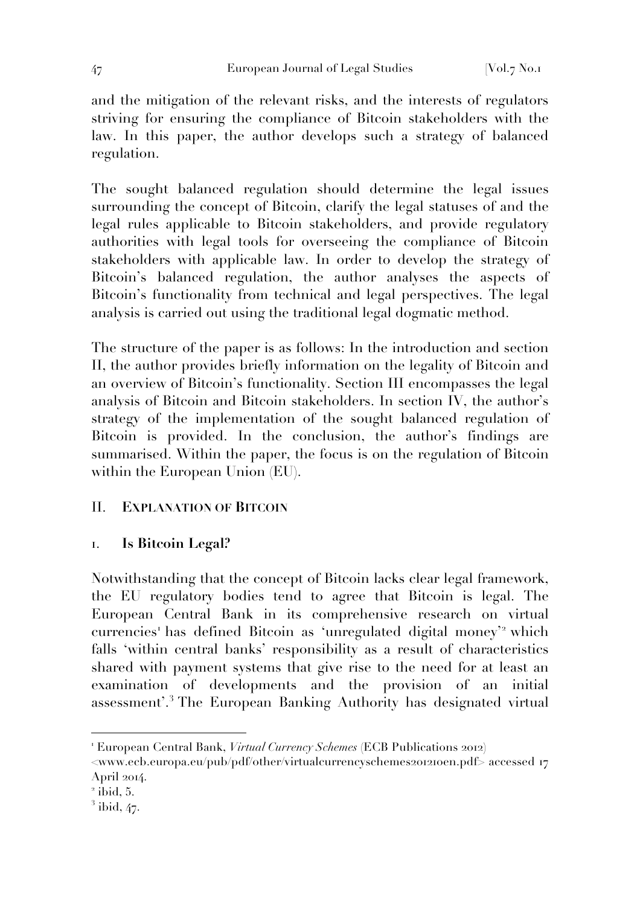and the mitigation of the relevant risks, and the interests of regulators striving for ensuring the compliance of Bitcoin stakeholders with the law. In this paper, the author develops such a strategy of balanced regulation.

The sought balanced regulation should determine the legal issues surrounding the concept of Bitcoin, clarify the legal statuses of and the legal rules applicable to Bitcoin stakeholders, and provide regulatory authorities with legal tools for overseeing the compliance of Bitcoin stakeholders with applicable law. In order to develop the strategy of Bitcoin's balanced regulation, the author analyses the aspects of Bitcoin's functionality from technical and legal perspectives. The legal analysis is carried out using the traditional legal dogmatic method.

The structure of the paper is as follows: In the introduction and section II, the author provides briefly information on the legality of Bitcoin and an overview of Bitcoin's functionality. Section III encompasses the legal analysis of Bitcoin and Bitcoin stakeholders. In section IV, the author's strategy of the implementation of the sought balanced regulation of Bitcoin is provided. In the conclusion, the author's findings are summarised. Within the paper, the focus is on the regulation of Bitcoin within the European Union (EU).

# II. **EXPLANATION OF BITCOIN**

## 1. **Is Bitcoin Legal?**

Notwithstanding that the concept of Bitcoin lacks clear legal framework, the EU regulatory bodies tend to agree that Bitcoin is legal. The European Central Bank in its comprehensive research on virtual currencies<sup>1</sup> has defined Bitcoin as 'unregulated digital money'<sup>2</sup> which falls 'within central banks' responsibility as a result of characteristics shared with payment systems that give rise to the need for at least an examination of developments and the provision of an initial assessment'.<sup>3</sup> The European Banking Authority has designated virtual

<sup>1</sup> European Central Bank, *Virtual Currency Schemes* (ECB Publications 2012)

<sup>&</sup>lt;www.ecb.europa.eu/pub/pdf/other/virtualcurrencyschemes201210en.pdf> accessed 17 April 2014.

 $<sup>2</sup>$  ibid, 5.</sup>

 $<sup>3</sup>$  ibid, 47.</sup>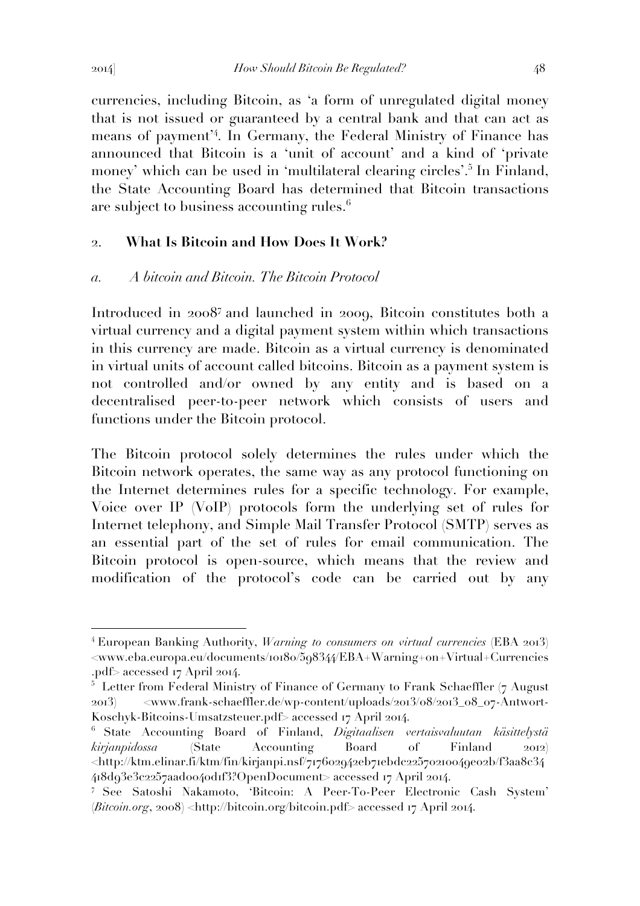currencies, including Bitcoin, as 'a form of unregulated digital money that is not issued or guaranteed by a central bank and that can act as means of payment'<sup>4</sup> . In Germany, the Federal Ministry of Finance has announced that Bitcoin is a 'unit of account' and a kind of 'private money' which can be used in 'multilateral clearing circles'.<sup>5</sup> In Finland, the State Accounting Board has determined that Bitcoin transactions are subject to business accounting rules.<sup>6</sup>

### 2. **What Is Bitcoin and How Does It Work?**

### *a. A bitcoin and Bitcoin. The Bitcoin Protocol*

Introduced in 20087 and launched in 2009, Bitcoin constitutes both a virtual currency and a digital payment system within which transactions in this currency are made. Bitcoin as a virtual currency is denominated in virtual units of account called bitcoins. Bitcoin as a payment system is not controlled and/or owned by any entity and is based on a decentralised peer-to-peer network which consists of users and functions under the Bitcoin protocol.

The Bitcoin protocol solely determines the rules under which the Bitcoin network operates, the same way as any protocol functioning on the Internet determines rules for a specific technology. For example, Voice over IP (VoIP) protocols form the underlying set of rules for Internet telephony, and Simple Mail Transfer Protocol (SMTP) serves as an essential part of the set of rules for email communication. The Bitcoin protocol is open-source, which means that the review and modification of the protocol's code can be carried out by any

<sup>4</sup> European Banking Authority, *Warning to consumers on virtual currencies* (EBA 2013) <www.eba.europa.eu/documents/10180/598344/EBA+Warning+on+Virtual+Currencies .pdf> accessed 17 April 2014.

 $5$  Letter from Federal Ministry of Finance of Germany to Frank Schaeffler (7 August 2013) <www.frank-schaeffler.de/wp-content/uploads/2013/08/2013\_08\_07-Antwort-Koschyk-Bitcoins-Umsatzsteuer.pdf> accessed 17 April 2014.

<sup>6</sup> State Accounting Board of Finland, *Digitaalisen vertaisvaluutan käsittelystä kirjanpidossa* (State Accounting Board of Finland 2012) <http://ktm.elinar.fi/ktm/fin/kirjanpi.nsf/717602942eb71ebdc22570210049e02b/f3aa8c34 418d93e3c2257aad0040d1f3?OpenDocument> accessed 17 April 2014.

<sup>7</sup> See Satoshi Nakamoto, 'Bitcoin: A Peer-To-Peer Electronic Cash System' (*Bitcoin.org*, 2008) <http://bitcoin.org/bitcoin.pdf> accessed 17 April 2014.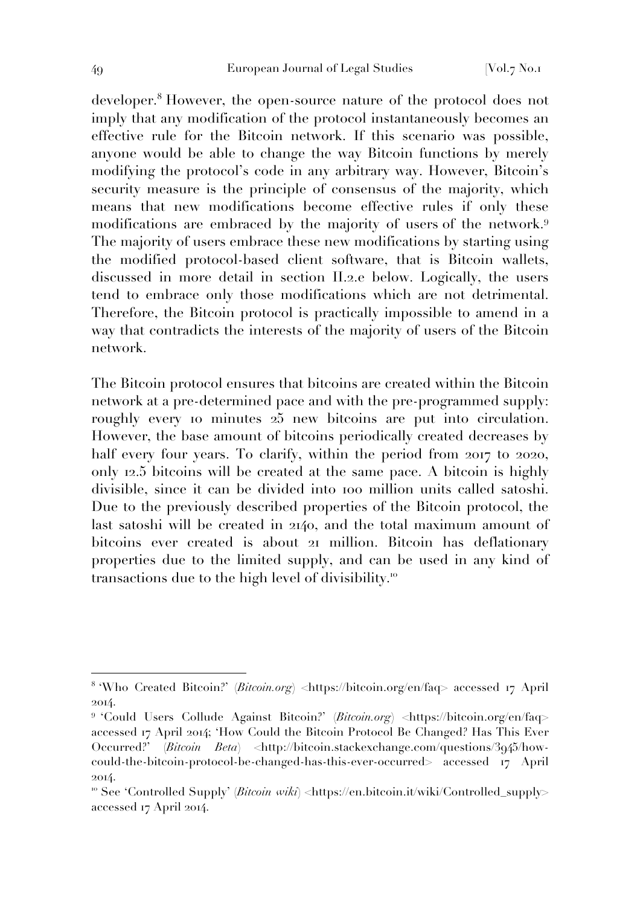developer.<sup>8</sup> However, the open-source nature of the protocol does not imply that any modification of the protocol instantaneously becomes an effective rule for the Bitcoin network. If this scenario was possible, anyone would be able to change the way Bitcoin functions by merely modifying the protocol's code in any arbitrary way. However, Bitcoin's security measure is the principle of consensus of the majority, which means that new modifications become effective rules if only these modifications are embraced by the majority of users of the network.<sup>9</sup> The majority of users embrace these new modifications by starting using the modified protocol-based client software, that is Bitcoin wallets, discussed in more detail in section II.2.e below. Logically, the users tend to embrace only those modifications which are not detrimental. Therefore, the Bitcoin protocol is practically impossible to amend in a way that contradicts the interests of the majority of users of the Bitcoin network.

The Bitcoin protocol ensures that bitcoins are created within the Bitcoin network at a pre-determined pace and with the pre-programmed supply: roughly every 10 minutes 25 new bitcoins are put into circulation. However, the base amount of bitcoins periodically created decreases by half every four years. To clarify, within the period from 2017 to 2020, only 12.5 bitcoins will be created at the same pace. A bitcoin is highly divisible, since it can be divided into 100 million units called satoshi. Due to the previously described properties of the Bitcoin protocol, the last satoshi will be created in 2140, and the total maximum amount of bitcoins ever created is about 21 million. Bitcoin has deflationary properties due to the limited supply, and can be used in any kind of transactions due to the high level of divisibility.<sup>10</sup>

<sup>8</sup> 'Who Created Bitcoin?' (*Bitcoin.org*) <https://bitcoin.org/en/faq> accessed 17 April 2014.

<sup>9</sup> 'Could Users Collude Against Bitcoin?' (*Bitcoin.org*) <https://bitcoin.org/en/faq> accessed 17 April 2014; 'How Could the Bitcoin Protocol Be Changed? Has This Ever Occurred?' (*Bitcoin Beta*) <http://bitcoin.stackexchange.com/questions/3945/howcould-the-bitcoin-protocol-be-changed-has-this-ever-occurred> accessed 17 April 2014.

<sup>&</sup>lt;sup>10</sup> See 'Controlled Supply' (*Bitcoin wiki*) <https://en.bitcoin.it/wiki/Controlled\_supply> accessed 17 April 2014.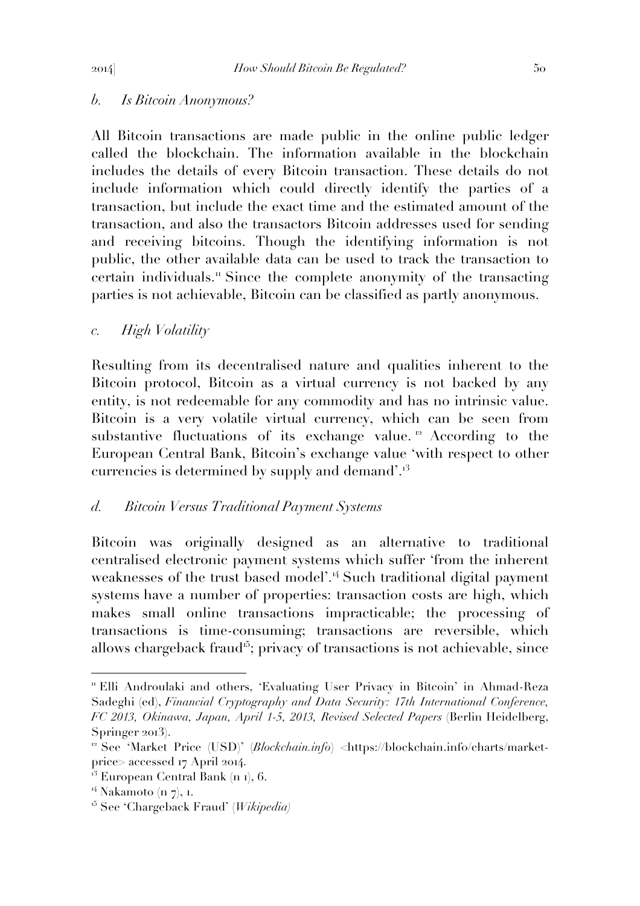# *b. Is Bitcoin Anonymous?*

All Bitcoin transactions are made public in the online public ledger called the blockchain. The information available in the blockchain includes the details of every Bitcoin transaction. These details do not include information which could directly identify the parties of a transaction, but include the exact time and the estimated amount of the transaction, and also the transactors Bitcoin addresses used for sending and receiving bitcoins. Though the identifying information is not public, the other available data can be used to track the transaction to certain individuals.<sup>"</sup> Since the complete anonymity of the transacting parties is not achievable, Bitcoin can be classified as partly anonymous.

# *c. High Volatility*

Resulting from its decentralised nature and qualities inherent to the Bitcoin protocol, Bitcoin as a virtual currency is not backed by any entity, is not redeemable for any commodity and has no intrinsic value. Bitcoin is a very volatile virtual currency, which can be seen from substantive fluctuations of its exchange value.<sup>12</sup> According to the European Central Bank, Bitcoin's exchange value 'with respect to other currencies is determined by supply and demand'.<sup>13</sup>

## *d. Bitcoin Versus Traditional Payment Systems*

Bitcoin was originally designed as an alternative to traditional centralised electronic payment systems which suffer 'from the inherent weaknesses of the trust based model'.<sup>14</sup> Such traditional digital payment systems have a number of properties: transaction costs are high, which makes small online transactions impracticable; the processing of transactions is time-consuming; transactions are reversible, which allows chargeback fraud<sup>15</sup>; privacy of transactions is not achievable, since

<sup>11</sup> Elli Androulaki and others, 'Evaluating User Privacy in Bitcoin' in Ahmad-Reza Sadeghi (ed), *Financial Cryptography and Data Security: 17th International Conference, FC 2013, Okinawa, Japan, April 1-5, 2013, Revised Selected Papers* (Berlin Heidelberg, Springer 2013).

<sup>12</sup> See 'Market Price (USD)' (*Blockchain.info*) <https://blockchain.info/charts/marketprice> accessed 17 April 2014.

 $13$  European Central Bank (n 1), 6.

<sup>&</sup>lt;sup>14</sup> Nakamoto (n 7), 1.

<sup>15</sup> See 'Chargeback Fraud' (*Wikipedia)*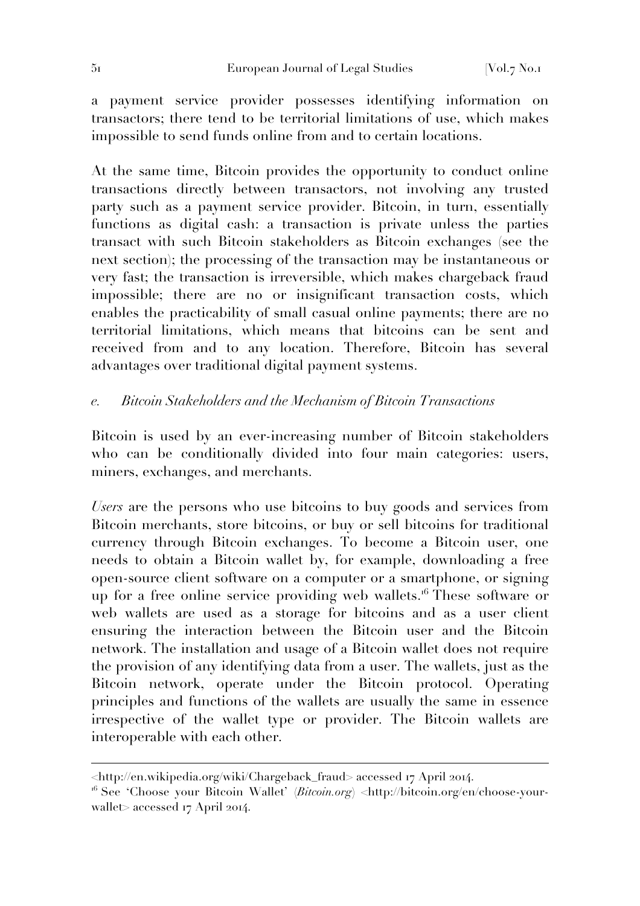a payment service provider possesses identifying information on transactors; there tend to be territorial limitations of use, which makes impossible to send funds online from and to certain locations.

At the same time, Bitcoin provides the opportunity to conduct online transactions directly between transactors, not involving any trusted party such as a payment service provider. Bitcoin, in turn, essentially functions as digital cash: a transaction is private unless the parties transact with such Bitcoin stakeholders as Bitcoin exchanges (see the next section); the processing of the transaction may be instantaneous or very fast; the transaction is irreversible, which makes chargeback fraud impossible; there are no or insignificant transaction costs, which enables the practicability of small casual online payments; there are no territorial limitations, which means that bitcoins can be sent and received from and to any location. Therefore, Bitcoin has several advantages over traditional digital payment systems.

## *e. Bitcoin Stakeholders and the Mechanism of Bitcoin Transactions*

Bitcoin is used by an ever-increasing number of Bitcoin stakeholders who can be conditionally divided into four main categories: users, miners, exchanges, and merchants.

*Users* are the persons who use bitcoins to buy goods and services from Bitcoin merchants, store bitcoins, or buy or sell bitcoins for traditional currency through Bitcoin exchanges. To become a Bitcoin user, one needs to obtain a Bitcoin wallet by, for example, downloading a free open-source client software on a computer or a smartphone, or signing up for a free online service providing web wallets.<sup>16</sup> These software or web wallets are used as a storage for bitcoins and as a user client ensuring the interaction between the Bitcoin user and the Bitcoin network. The installation and usage of a Bitcoin wallet does not require the provision of any identifying data from a user. The wallets, just as the Bitcoin network, operate under the Bitcoin protocol. Operating principles and functions of the wallets are usually the same in essence irrespective of the wallet type or provider. The Bitcoin wallets are interoperable with each other.

<sup>&</sup>lt;http://en.wikipedia.org/wiki/Chargeback\_fraud> accessed 17 April 2014.

<sup>16</sup> See 'Choose your Bitcoin Wallet' (*Bitcoin.org*) <http://bitcoin.org/en/choose-yourwallet> accessed 17 April 2014.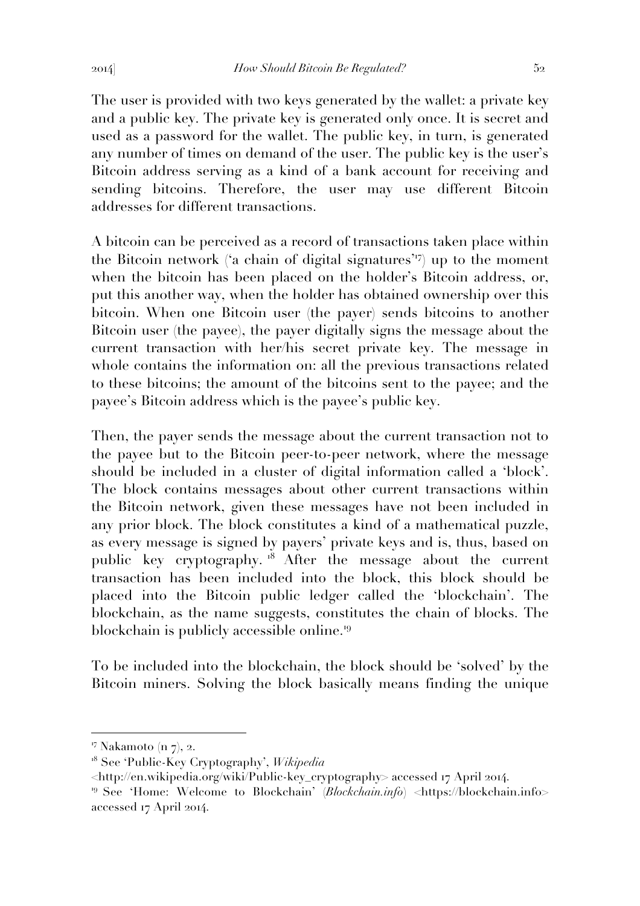The user is provided with two keys generated by the wallet: a private key and a public key. The private key is generated only once. It is secret and used as a password for the wallet. The public key, in turn, is generated any number of times on demand of the user. The public key is the user's Bitcoin address serving as a kind of a bank account for receiving and sending bitcoins. Therefore, the user may use different Bitcoin addresses for different transactions.

A bitcoin can be perceived as a record of transactions taken place within the Bitcoin network ('a chain of digital signatures'<sup>17</sup>) up to the moment when the bitcoin has been placed on the holder's Bitcoin address, or, put this another way, when the holder has obtained ownership over this bitcoin. When one Bitcoin user (the payer) sends bitcoins to another Bitcoin user (the payee), the payer digitally signs the message about the current transaction with her/his secret private key. The message in whole contains the information on: all the previous transactions related to these bitcoins; the amount of the bitcoins sent to the payee; and the payee's Bitcoin address which is the payee's public key.

Then, the payer sends the message about the current transaction not to the payee but to the Bitcoin peer-to-peer network, where the message should be included in a cluster of digital information called a 'block'. The block contains messages about other current transactions within the Bitcoin network, given these messages have not been included in any prior block. The block constitutes a kind of a mathematical puzzle, as every message is signed by payers' private keys and is, thus, based on public key cryptography.<sup>18</sup> After the message about the current transaction has been included into the block, this block should be placed into the Bitcoin public ledger called the 'blockchain'. The blockchain, as the name suggests, constitutes the chain of blocks. The blockchain is publicly accessible online.<sup>19</sup>

To be included into the blockchain, the block should be 'solved' by the Bitcoin miners. Solving the block basically means finding the unique

<sup>&</sup>lt;sup>17</sup> Nakamoto (n 7), 2.

<sup>18</sup> See 'Public-Key Cryptography', *Wikipedia*

<sup>&</sup>lt;http://en.wikipedia.org/wiki/Public-key\_cryptography> accessed 17 April 2014.

<sup>19</sup> See 'Home: Welcome to Blockchain' (*Blockchain.info*) <https://blockchain.info> accessed 17 April 2014.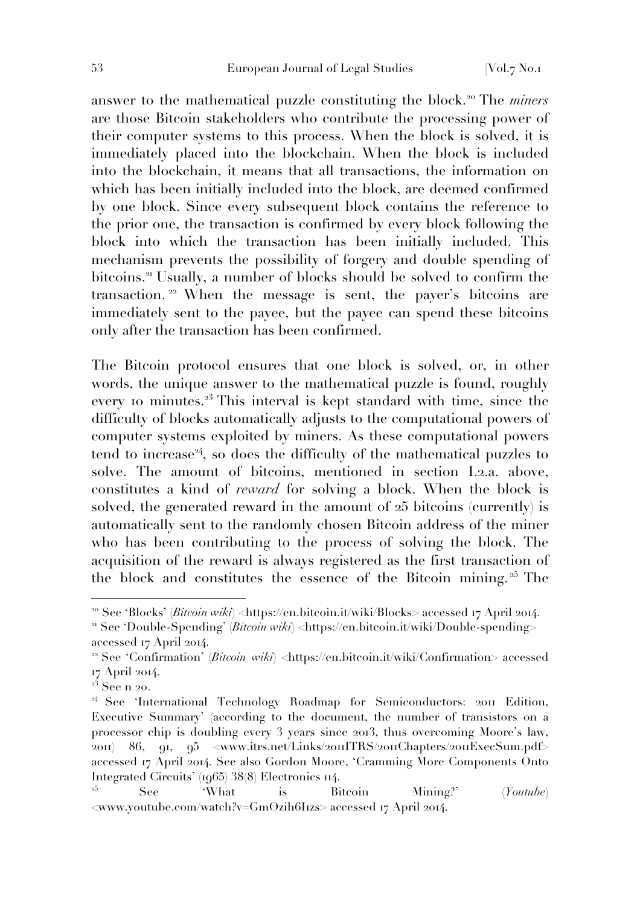answer to the mathematical puzzle constituting the block.<sup>20</sup> The *miners* are those Bitcoin stakeholders who contribute the processing power of their computer systems to this process. When the block is solved, it is immediately placed into the blockchain. When the block is included into the blockchain, it means that all transactions, the information on which has been initially included into the block, are deemed confirmed by one block. Since every subsequent block contains the reference to the prior one, the transaction is confirmed by every block following the block into which the transaction has been initially included. This mechanism prevents the possibility of forgery and double spending of bitcoins.<sup>21</sup> Usually, a number of blocks should be solved to confirm the transaction. <sup>22</sup> When the message is sent, the payer's bitcoins are immediately sent to the payee, but the payee can spend these bitcoins only after the transaction has been confirmed.

The Bitcoin protocol ensures that one block is solved, or, in other words, the unique answer to the mathematical puzzle is found, roughly every 10 minutes.<sup>23</sup> This interval is kept standard with time, since the difficulty of blocks automatically adjusts to the computational powers of computer systems exploited by miners. As these computational powers tend to increase<sup>24</sup>, so does the difficulty of the mathematical puzzles to solve. The amount of bitcoins, mentioned in section I.2.a. above, constitutes a kind of *reward* for solving a block. When the block is solved, the generated reward in the amount of 25 bitcoins (currently) is automatically sent to the randomly chosen Bitcoin address of the miner who has been contributing to the process of solving the block. The acquisition of the reward is always registered as the first transaction of the block and constitutes the essence of the Bitcoin mining.<sup> $25$ </sup> The

<sup>&</sup>lt;sup>20</sup> See 'Blocks' *(Bitcoin wiki*) <https://en.bitcoin.it/wiki/Blocks> accessed 17 April 2014.

<sup>&</sup>lt;sup>21</sup> See 'Double-Spending' (*Bitcoin wiki*) <https://en.bitcoin.it/wiki/Double-spending> accessed 17 April 2014.

<sup>&</sup>lt;sup>22</sup> See 'Confirmation' (*Bitcoin wiki*) <https://en.bitcoin.it/wiki/Confirmation> accessed 17 April 2014.

 $2^3$  See n 20.

<sup>&</sup>lt;sup>24</sup> See 'International Technology Roadmap for Semiconductors: 2011 Edition, Executive Summary' (according to the document, the number of transistors on a processor chip is doubling every 3 years since 2013, thus overcoming Moore's law, 2011) 86, 91, 95 <www.itrs.net/Links/2011ITRS/2011Chapters/2011ExecSum.pdf> accessed 17 April 2014. See also Gordon Moore, 'Cramming More Components Onto Integrated Circuits' (1965) 38(8) Electronics 114.

<sup>&</sup>lt;sup>25</sup> See 'What is Bitcoin Mining?' (*Youtube*)  $\langle$ www.youtube.com/watch?v=GmOzih6Irzs> accessed 17 April 2014.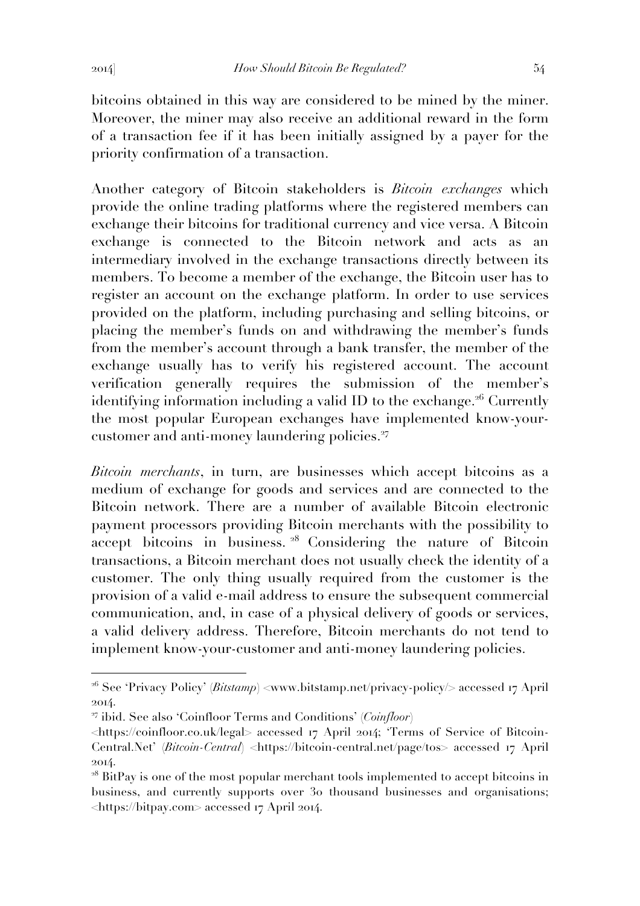bitcoins obtained in this way are considered to be mined by the miner. Moreover, the miner may also receive an additional reward in the form of a transaction fee if it has been initially assigned by a payer for the priority confirmation of a transaction.

Another category of Bitcoin stakeholders is *Bitcoin exchanges* which provide the online trading platforms where the registered members can exchange their bitcoins for traditional currency and vice versa. A Bitcoin exchange is connected to the Bitcoin network and acts as an intermediary involved in the exchange transactions directly between its members. To become a member of the exchange, the Bitcoin user has to register an account on the exchange platform. In order to use services provided on the platform, including purchasing and selling bitcoins, or placing the member's funds on and withdrawing the member's funds from the member's account through a bank transfer, the member of the exchange usually has to verify his registered account. The account verification generally requires the submission of the member's identifying information including a valid ID to the exchange.<sup>26</sup> Currently the most popular European exchanges have implemented know-yourcustomer and anti-money laundering policies.<sup>27</sup>

*Bitcoin merchants*, in turn, are businesses which accept bitcoins as a medium of exchange for goods and services and are connected to the Bitcoin network. There are a number of available Bitcoin electronic payment processors providing Bitcoin merchants with the possibility to accept bitcoins in business. <sup>28</sup> Considering the nature of Bitcoin transactions, a Bitcoin merchant does not usually check the identity of a customer. The only thing usually required from the customer is the provision of a valid e-mail address to ensure the subsequent commercial communication, and, in case of a physical delivery of goods or services, a valid delivery address. Therefore, Bitcoin merchants do not tend to implement know-your-customer and anti-money laundering policies.

<sup>&</sup>lt;sup>26</sup> See 'Privacy Policy' (*Bitstamp*) <www.bitstamp.net/privacy-policy/> accessed 17 April 2014.

<sup>27</sup> ibid. See also 'Coinfloor Terms and Conditions' (*Coinfloor*)

<sup>&</sup>lt;https://coinfloor.co.uk/legal> accessed 17 April 2014; 'Terms of Service of Bitcoin-Central.Net' (*Bitcoin-Central*) <https://bitcoin-central.net/page/tos> accessed 17 April 2014.

<sup>&</sup>lt;sup>28</sup> BitPay is one of the most popular merchant tools implemented to accept bitcoins in business, and currently supports over 30 thousand businesses and organisations; <https://bitpay.com> accessed 17 April 2014.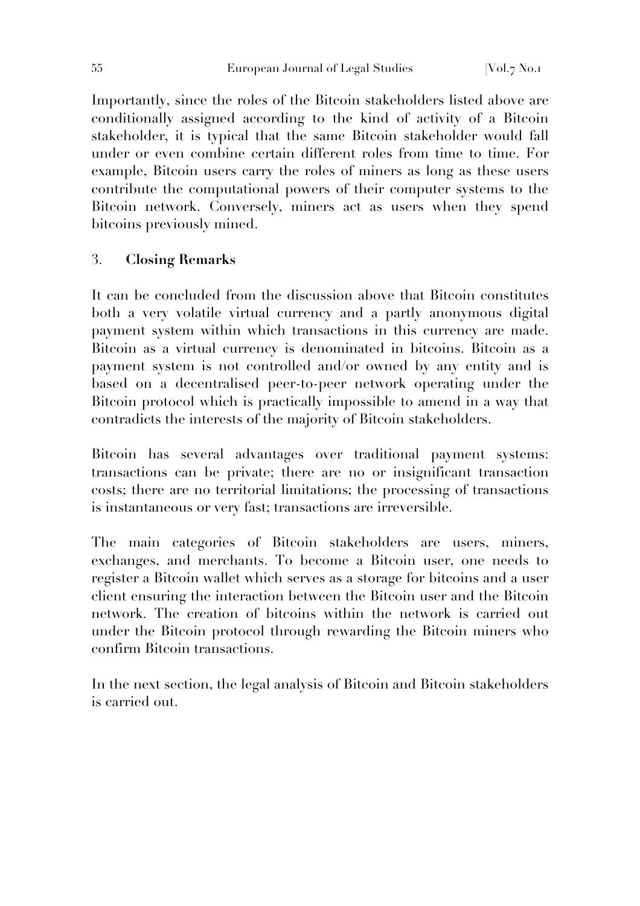Importantly, since the roles of the Bitcoin stakeholders listed above are conditionally assigned according to the kind of activity of a Bitcoin stakeholder, it is typical that the same Bitcoin stakeholder would fall under or even combine certain different roles from time to time. For example, Bitcoin users carry the roles of miners as long as these users contribute the computational powers of their computer systems to the Bitcoin network. Conversely, miners act as users when they spend bitcoins previously mined.

# 3. **Closing Remarks**

It can be concluded from the discussion above that Bitcoin constitutes both a very volatile virtual currency and a partly anonymous digital payment system within which transactions in this currency are made. Bitcoin as a virtual currency is denominated in bitcoins. Bitcoin as a payment system is not controlled and/or owned by any entity and is based on a decentralised peer-to-peer network operating under the Bitcoin protocol which is practically impossible to amend in a way that contradicts the interests of the majority of Bitcoin stakeholders.

Bitcoin has several advantages over traditional payment systems: transactions can be private; there are no or insignificant transaction costs; there are no territorial limitations; the processing of transactions is instantaneous or very fast; transactions are irreversible.

The main categories of Bitcoin stakeholders are users, miners, exchanges, and merchants. To become a Bitcoin user, one needs to register a Bitcoin wallet which serves as a storage for bitcoins and a user client ensuring the interaction between the Bitcoin user and the Bitcoin network. The creation of bitcoins within the network is carried out under the Bitcoin protocol through rewarding the Bitcoin miners who confirm Bitcoin transactions.

In the next section, the legal analysis of Bitcoin and Bitcoin stakeholders is carried out.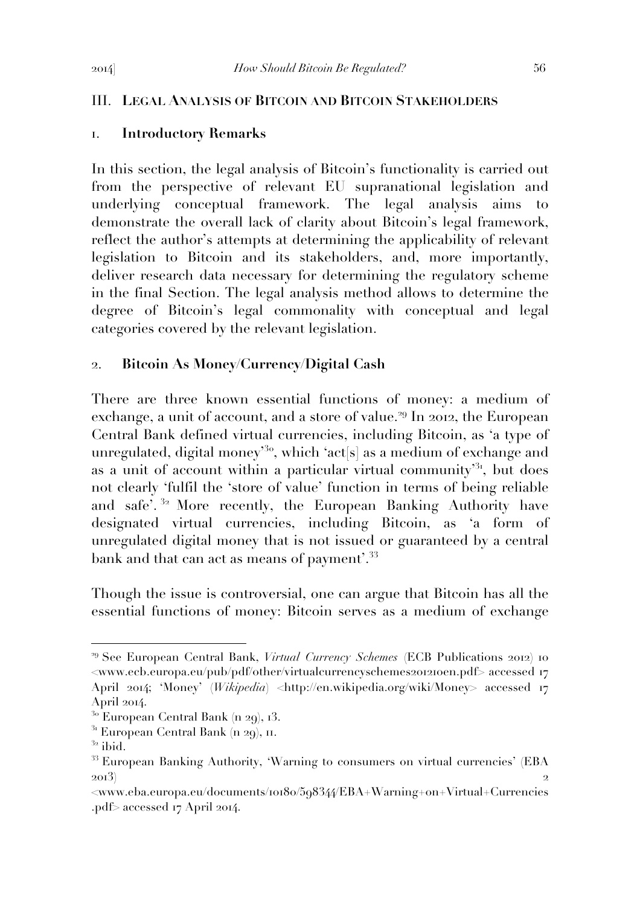#### III. **LEGAL ANALYSIS OF BITCOIN AND BITCOIN STAKEHOLDERS**

#### 1. **Introductory Remarks**

In this section, the legal analysis of Bitcoin's functionality is carried out from the perspective of relevant EU supranational legislation and underlying conceptual framework. The legal analysis aims to demonstrate the overall lack of clarity about Bitcoin's legal framework, reflect the author's attempts at determining the applicability of relevant legislation to Bitcoin and its stakeholders, and, more importantly, deliver research data necessary for determining the regulatory scheme in the final Section. The legal analysis method allows to determine the degree of Bitcoin's legal commonality with conceptual and legal categories covered by the relevant legislation.

#### 2. **Bitcoin As Money/Currency/Digital Cash**

There are three known essential functions of money: a medium of exchange, a unit of account, and a store of value.<sup>29</sup> In 2012, the European Central Bank defined virtual currencies, including Bitcoin, as 'a type of unregulated, digital money<sup>30</sup>, which 'act[s] as a medium of exchange and as a unit of account within a particular virtual community<sup> $31$ </sup>, but does not clearly 'fulfil the 'store of value' function in terms of being reliable and safe<sup>7</sup>.<sup>32</sup> More recently, the European Banking Authority have designated virtual currencies, including Bitcoin, as 'a form of unregulated digital money that is not issued or guaranteed by a central bank and that can act as means of payment'.<sup>33</sup>

Though the issue is controversial, one can argue that Bitcoin has all the essential functions of money: Bitcoin serves as a medium of exchange

<sup>&</sup>lt;sup>29</sup> See European Central Bank, *Virtual Currency Schemes* (ECB Publications 2012) 10 <www.ecb.europa.eu/pub/pdf/other/virtualcurrencyschemes201210en.pdf> accessed 17 April 2014; 'Money' (*Wikipedia*) <http://en.wikipedia.org/wiki/Money> accessed 17 April 2014.

 $30$  European Central Bank (n 29), 13.

 $31$  European Central Bank (n 29), 11.

 $^{32}$ ibid.

<sup>&</sup>lt;sup>33</sup> European Banking Authority, 'Warning to consumers on virtual currencies' (EBA  $2013)$  2

<sup>&</sup>lt;www.eba.europa.eu/documents/10180/598344/EBA+Warning+on+Virtual+Currencies .pdf> accessed 17 April 2014.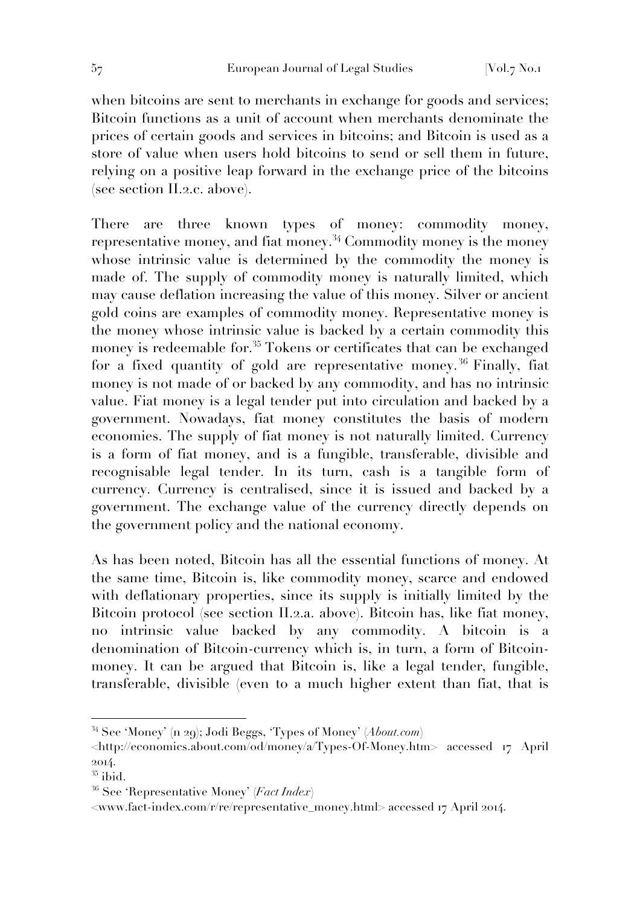when bitcoins are sent to merchants in exchange for goods and services; Bitcoin functions as a unit of account when merchants denominate the prices of certain goods and services in bitcoins; and Bitcoin is used as a store of value when users hold bitcoins to send or sell them in future, relying on a positive leap forward in the exchange price of the bitcoins (see section II.2.c. above).

There are three known types of money: commodity money, representative money, and fiat money.<sup>34</sup> Commodity money is the money whose intrinsic value is determined by the commodity the money is made of. The supply of commodity money is naturally limited, which may cause deflation increasing the value of this money. Silver or ancient gold coins are examples of commodity money. Representative money is the money whose intrinsic value is backed by a certain commodity this money is redeemable for.<sup>35</sup> Tokens or certificates that can be exchanged for a fixed quantity of gold are representative money.<sup>36</sup> Finally, fiat money is not made of or backed by any commodity, and has no intrinsic value. Fiat money is a legal tender put into circulation and backed by a government. Nowadays, fiat money constitutes the basis of modern economies. The supply of fiat money is not naturally limited. Currency is a form of fiat money, and is a fungible, transferable, divisible and recognisable legal tender. In its turn, cash is a tangible form of currency. Currency is centralised, since it is issued and backed by a government. The exchange value of the currency directly depends on the government policy and the national economy.

As has been noted, Bitcoin has all the essential functions of money. At the same time, Bitcoin is, like commodity money, scarce and endowed with deflationary properties, since its supply is initially limited by the Bitcoin protocol (see section II.2.a. above). Bitcoin has, like fiat money, no intrinsic value backed by any commodity. A bitcoin is a denomination of Bitcoin-currency which is, in turn, a form of Bitcoinmoney. It can be argued that Bitcoin is, like a legal tender, fungible, transferable, divisible (even to a much higher extent than fiat, that is

<sup>34</sup> See 'Money' (n 29); Jodi Beggs, 'Types of Money' (*About.com*)

<sup>&</sup>lt;http://economics.about.com/od/money/a/Types-Of-Money.htm> accessed 17 April 2014.

 $35$  ibid.

<sup>36</sup> See 'Representative Money' (*Fact Index*)

<sup>&</sup>lt;www.fact-index.com/r/re/representative\_money.html> accessed 17 April 2014.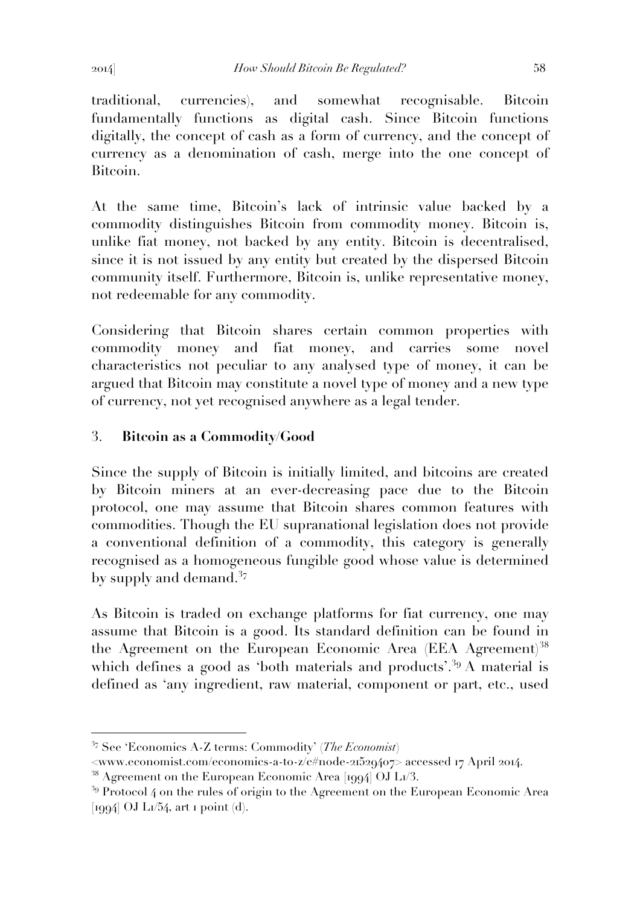traditional, currencies), and somewhat recognisable. Bitcoin fundamentally functions as digital cash. Since Bitcoin functions digitally, the concept of cash as a form of currency, and the concept of currency as a denomination of cash, merge into the one concept of Bitcoin.

At the same time, Bitcoin's lack of intrinsic value backed by a commodity distinguishes Bitcoin from commodity money. Bitcoin is, unlike fiat money, not backed by any entity. Bitcoin is decentralised, since it is not issued by any entity but created by the dispersed Bitcoin community itself. Furthermore, Bitcoin is, unlike representative money, not redeemable for any commodity.

Considering that Bitcoin shares certain common properties with commodity money and fiat money, and carries some novel characteristics not peculiar to any analysed type of money, it can be argued that Bitcoin may constitute a novel type of money and a new type of currency, not yet recognised anywhere as a legal tender.

# 3. **Bitcoin as a Commodity/Good**

Since the supply of Bitcoin is initially limited, and bitcoins are created by Bitcoin miners at an ever-decreasing pace due to the Bitcoin protocol, one may assume that Bitcoin shares common features with commodities. Though the EU supranational legislation does not provide a conventional definition of a commodity, this category is generally recognised as a homogeneous fungible good whose value is determined by supply and demand. $^{37}$ 

As Bitcoin is traded on exchange platforms for fiat currency, one may assume that Bitcoin is a good. Its standard definition can be found in the Agreement on the European Economic Area (EEA Agreement)<sup>38</sup> which defines a good as 'both materials and products'.<sup>39</sup> A material is defined as 'any ingredient, raw material, component or part, etc., used

<sup>37</sup> See 'Economics A-Z terms: Commodity' (*The Economist*)

<sup>&</sup>lt;www.economist.com/economics-a-to-z/c#node-21529407> accessed 17 April 2014.

<sup>&</sup>lt;sup>38</sup> Agreement on the European Economic Area [1994] OJ L1/3.

 $39$  Protocol 4 on the rules of origin to the Agreement on the European Economic Area  $[1994]$  OJ L $1/54$ , art 1 point (d).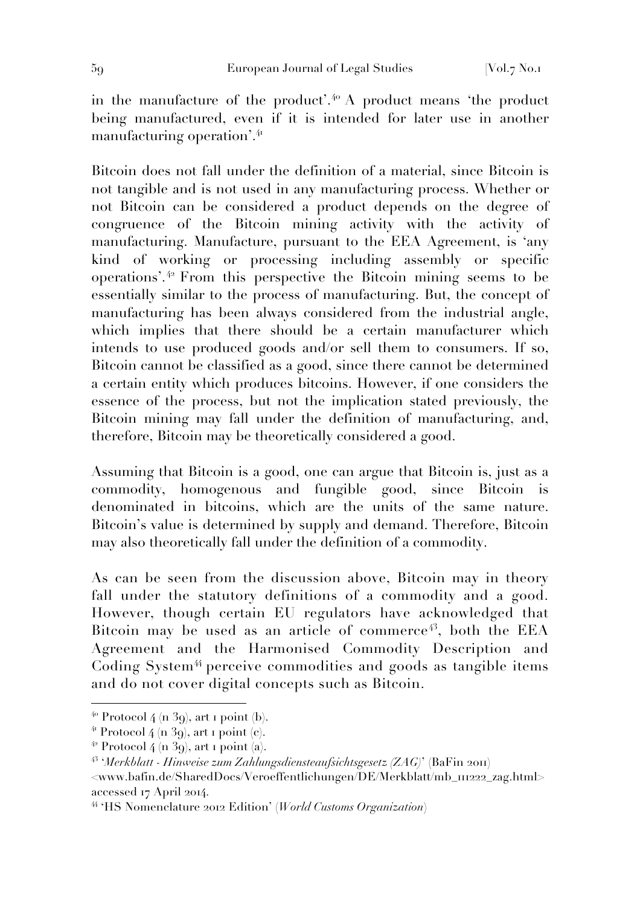in the manufacture of the product'.<sup>40</sup> A product means 'the product being manufactured, even if it is intended for later use in another manufacturing operation'.<sup>41</sup>

Bitcoin does not fall under the definition of a material, since Bitcoin is not tangible and is not used in any manufacturing process. Whether or not Bitcoin can be considered a product depends on the degree of congruence of the Bitcoin mining activity with the activity of manufacturing. Manufacture, pursuant to the EEA Agreement, is 'any kind of working or processing including assembly or specific operations'. <sup>42</sup> From this perspective the Bitcoin mining seems to be essentially similar to the process of manufacturing. But, the concept of manufacturing has been always considered from the industrial angle, which implies that there should be a certain manufacturer which intends to use produced goods and/or sell them to consumers. If so, Bitcoin cannot be classified as a good, since there cannot be determined a certain entity which produces bitcoins. However, if one considers the essence of the process, but not the implication stated previously, the Bitcoin mining may fall under the definition of manufacturing, and, therefore, Bitcoin may be theoretically considered a good.

Assuming that Bitcoin is a good, one can argue that Bitcoin is, just as a commodity, homogenous and fungible good, since Bitcoin is denominated in bitcoins, which are the units of the same nature. Bitcoin's value is determined by supply and demand. Therefore, Bitcoin may also theoretically fall under the definition of a commodity.

As can be seen from the discussion above, Bitcoin may in theory fall under the statutory definitions of a commodity and a good. However, though certain EU regulators have acknowledged that Bitcoin may be used as an article of commerce<sup> $43$ </sup>, both the EEA Agreement and the Harmonised Commodity Description and Coding System<sup>44</sup> perceive commodities and goods as tangible items and do not cover digital concepts such as Bitcoin.

 $40$  Protocol 4 (n 39), art 1 point (b).

 $4$ <sup>4</sup> Protocol 4 (n 39), art 1 point (c).

 $4^2$  Protocol 4 (n 39), art 1 point (a).

<sup>43</sup> '*Merkblatt - Hinweise zum Zahlungsdiensteaufsichtsgesetz (ZAG)*' (BaFin 2011)

<sup>&</sup>lt;www.bafin.de/SharedDocs/Veroeffentlichungen/DE/Merkblatt/mb\_111222\_zag.html> accessed 17 April 2014.

<sup>44</sup> 'HS Nomenclature 2012 Edition' (*World Customs Organization*)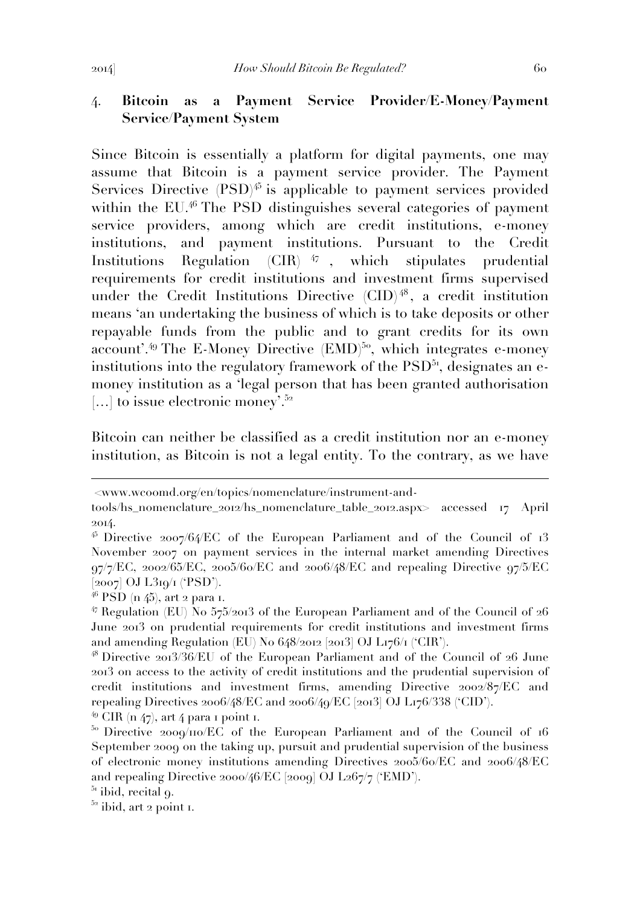# 4. **Bitcoin as a Payment Service Provider/E-Money/Payment Service/Payment System**

Since Bitcoin is essentially a platform for digital payments, one may assume that Bitcoin is a payment service provider. The Payment Services Directive  $(PSD)^{45}$  is applicable to payment services provided within the EU.<sup>46</sup> The PSD distinguishes several categories of payment service providers, among which are credit institutions, e-money institutions, and payment institutions. Pursuant to the Credit Institutions Regulation (CIR) <sup>47</sup> , which stipulates prudential requirements for credit institutions and investment firms supervised under the Credit Institutions Directive (CID) <sup>48</sup> , a credit institution means 'an undertaking the business of which is to take deposits or other repayable funds from the public and to grant credits for its own account'.<sup>49</sup> The E-Money Directive (EMD)<sup>50</sup>, which integrates e-money institutions into the regulatory framework of the  $PSD<sup>51</sup>$ , designates an emoney institution as a 'legal person that has been granted authorisation [...] to issue electronic money'.<sup>52</sup>

Bitcoin can neither be classified as a credit institution nor an e-money institution, as Bitcoin is not a legal entity. To the contrary, as we have

 $\overline{a}$ 

 $49$  CIR (n 47), art 4 para 1 point 1.

<sup>&</sup>lt;www.wcoomd.org/en/topics/nomenclature/instrument-and-

tools/hs\_nomenclature\_2012/hs\_nomenclature\_table\_2012.aspx> accessed 17 April 2014.

<sup>45</sup> Directive 2007/64/EC of the European Parliament and of the Council of 13 November 2007 on payment services in the internal market amending Directives 97/7/EC, 2002/65/EC, 2005/60/EC and 2006/48/EC and repealing Directive 97/5/EC [2007] OJ L319/1 ('PSD').

 $^{46}$  PSD (n  $45$ ), art 2 para 1.

 $47$  Regulation (EU) No 575/2013 of the European Parliament and of the Council of 26 June 2013 on prudential requirements for credit institutions and investment firms and amending Regulation (EU) No 648/2012 [2013] OJ L176/1 ('CIR').

<sup>48</sup> Directive 2013/36/EU of the European Parliament and of the Council of 26 June 2013 on access to the activity of credit institutions and the prudential supervision of credit institutions and investment firms, amending Directive 2002/87/EC and repealing Directives  $2006/48/EC$  and  $2006/49/EC$  [ $2013$ ] OJ L176/338 ('CID').

<sup>&</sup>lt;sup>50</sup> Directive 2009/110/EC of the European Parliament and of the Council of 16 September 2009 on the taking up, pursuit and prudential supervision of the business of electronic money institutions amending Directives 2005/60/EC and 2006/48/EC and repealing Directive 2000/46/EC [2009] OJ L267/7 ('EMD').

 $51$  ibid, recital 9.

 $52$  ibid, art 2 point 1.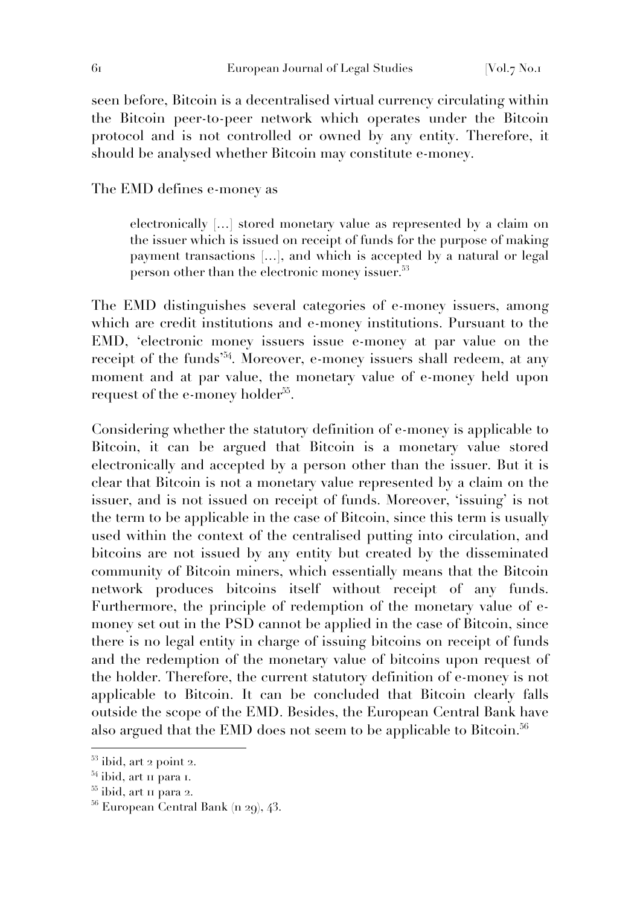seen before, Bitcoin is a decentralised virtual currency circulating within the Bitcoin peer-to-peer network which operates under the Bitcoin protocol and is not controlled or owned by any entity. Therefore, it should be analysed whether Bitcoin may constitute e-money.

The EMD defines e-money as

electronically […] stored monetary value as represented by a claim on the issuer which is issued on receipt of funds for the purpose of making payment transactions […], and which is accepted by a natural or legal person other than the electronic money issuer.<sup>53</sup>

The EMD distinguishes several categories of e-money issuers, among which are credit institutions and e-money institutions. Pursuant to the EMD, 'electronic money issuers issue e-money at par value on the receipt of the funds<sup>'54</sup>. Moreover, e-money issuers shall redeem, at any moment and at par value, the monetary value of e-money held upon request of the e-money holder<sup>55</sup>.

Considering whether the statutory definition of e-money is applicable to Bitcoin, it can be argued that Bitcoin is a monetary value stored electronically and accepted by a person other than the issuer. But it is clear that Bitcoin is not a monetary value represented by a claim on the issuer, and is not issued on receipt of funds. Moreover, 'issuing' is not the term to be applicable in the case of Bitcoin, since this term is usually used within the context of the centralised putting into circulation, and bitcoins are not issued by any entity but created by the disseminated community of Bitcoin miners, which essentially means that the Bitcoin network produces bitcoins itself without receipt of any funds. Furthermore, the principle of redemption of the monetary value of emoney set out in the PSD cannot be applied in the case of Bitcoin, since there is no legal entity in charge of issuing bitcoins on receipt of funds and the redemption of the monetary value of bitcoins upon request of the holder. Therefore, the current statutory definition of e-money is not applicable to Bitcoin. It can be concluded that Bitcoin clearly falls outside the scope of the EMD. Besides, the European Central Bank have also argued that the EMD does not seem to be applicable to Bitcoin.<sup>56</sup>

 $53$  ibid, art 2 point 2.

<sup>&</sup>lt;sup>54</sup> ibid, art 11 para 1.

<sup>55</sup> ibid, art 11 para 2.

 $56$  European Central Bank (n 29), 43.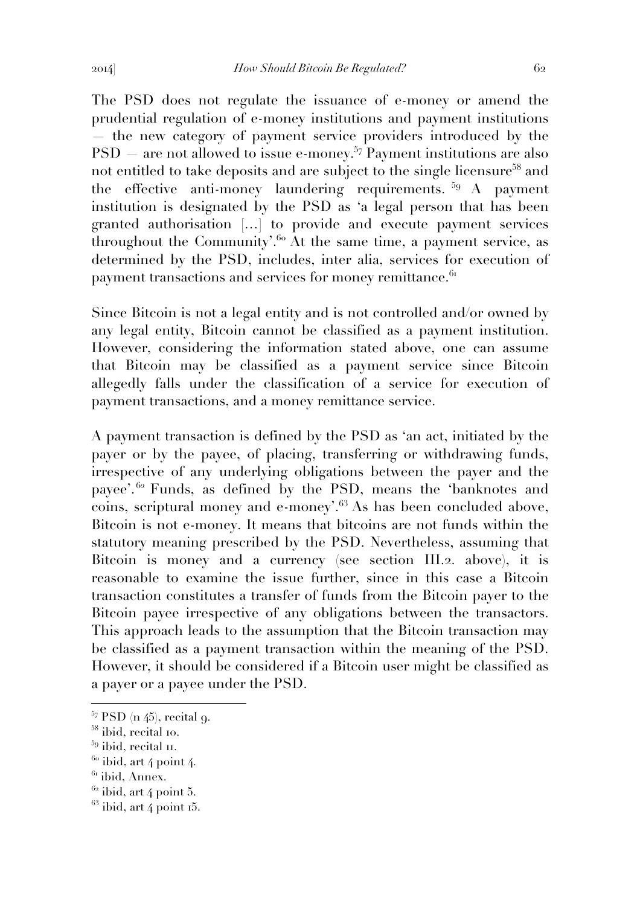The PSD does not regulate the issuance of e-money or amend the prudential regulation of e-money institutions and payment institutions

— the new category of payment service providers introduced by the PSD — are not allowed to issue e-money.<sup>57</sup> Payment institutions are also not entitled to take deposits and are subject to the single licensure<sup>58</sup> and the effective anti-money laundering requirements.  $59 A$  payment institution is designated by the PSD as 'a legal person that has been granted authorisation […] to provide and execute payment services throughout the Community'.<sup>60</sup> At the same time, a payment service, as determined by the PSD, includes, inter alia, services for execution of payment transactions and services for money remittance.<sup>61</sup>

Since Bitcoin is not a legal entity and is not controlled and/or owned by any legal entity, Bitcoin cannot be classified as a payment institution. However, considering the information stated above, one can assume that Bitcoin may be classified as a payment service since Bitcoin allegedly falls under the classification of a service for execution of payment transactions, and a money remittance service.

A payment transaction is defined by the PSD as 'an act, initiated by the payer or by the payee, of placing, transferring or withdrawing funds, irrespective of any underlying obligations between the payer and the payee'.<sup>62</sup> Funds, as defined by the PSD, means the 'banknotes and coins, scriptural money and e-money'.<sup>63</sup> As has been concluded above, Bitcoin is not e-money. It means that bitcoins are not funds within the statutory meaning prescribed by the PSD. Nevertheless, assuming that Bitcoin is money and a currency (see section III.2. above), it is reasonable to examine the issue further, since in this case a Bitcoin transaction constitutes a transfer of funds from the Bitcoin payer to the Bitcoin payee irrespective of any obligations between the transactors. This approach leads to the assumption that the Bitcoin transaction may be classified as a payment transaction within the meaning of the PSD. However, it should be considered if a Bitcoin user might be classified as a payer or a payee under the PSD.

 $57$  PSD (n 45), recital 9.

<sup>58</sup> ibid, recital 10.

 $59$  ibid, recital  $\text{II}$ .

 $60$  ibid, art 4 point 4.

 $61$  ibid, Annex.

 $62$  ibid, art 4 point 5.

 $63$  ibid, art 4 point 15.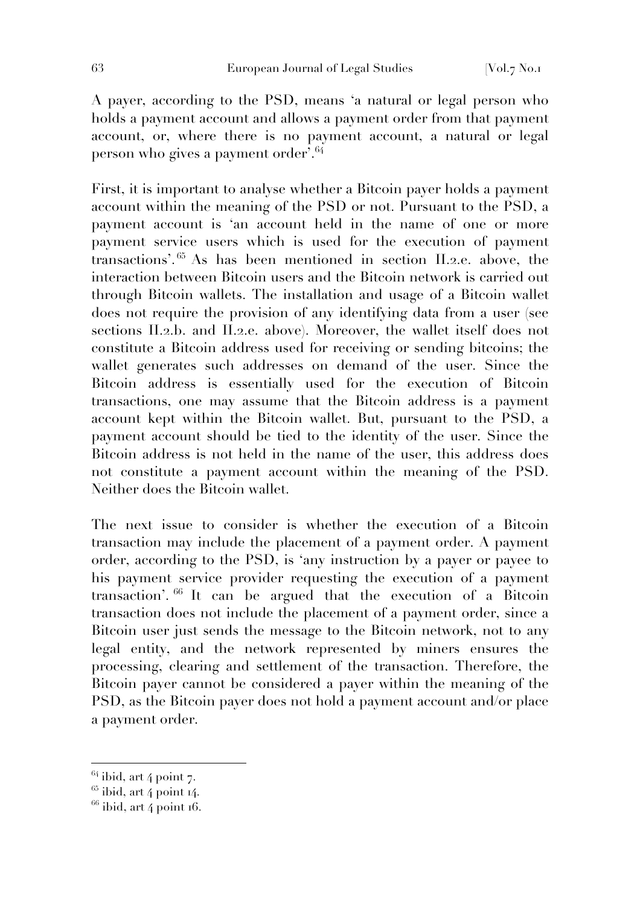A payer, according to the PSD, means 'a natural or legal person who holds a payment account and allows a payment order from that payment account, or, where there is no payment account, a natural or legal person who gives a payment order<sup>'.64</sup>

First, it is important to analyse whether a Bitcoin payer holds a payment account within the meaning of the PSD or not. Pursuant to the PSD, a payment account is 'an account held in the name of one or more payment service users which is used for the execution of payment transactions'. <sup>65</sup> As has been mentioned in section II.2.e. above, the interaction between Bitcoin users and the Bitcoin network is carried out through Bitcoin wallets. The installation and usage of a Bitcoin wallet does not require the provision of any identifying data from a user (see sections II.2.b. and II.2.e. above). Moreover, the wallet itself does not constitute a Bitcoin address used for receiving or sending bitcoins; the wallet generates such addresses on demand of the user. Since the Bitcoin address is essentially used for the execution of Bitcoin transactions, one may assume that the Bitcoin address is a payment account kept within the Bitcoin wallet. But, pursuant to the PSD, a payment account should be tied to the identity of the user. Since the Bitcoin address is not held in the name of the user, this address does not constitute a payment account within the meaning of the PSD. Neither does the Bitcoin wallet.

The next issue to consider is whether the execution of a Bitcoin transaction may include the placement of a payment order. A payment order, according to the PSD, is 'any instruction by a payer or payee to his payment service provider requesting the execution of a payment transaction'. <sup>66</sup> It can be argued that the execution of a Bitcoin transaction does not include the placement of a payment order, since a Bitcoin user just sends the message to the Bitcoin network, not to any legal entity, and the network represented by miners ensures the processing, clearing and settlement of the transaction. Therefore, the Bitcoin payer cannot be considered a payer within the meaning of the PSD, as the Bitcoin payer does not hold a payment account and/or place a payment order.

 $64$  ibid, art 4 point 7.

 $65$  ibid, art 4 point 14.

 $66$  ibid, art 4 point 16.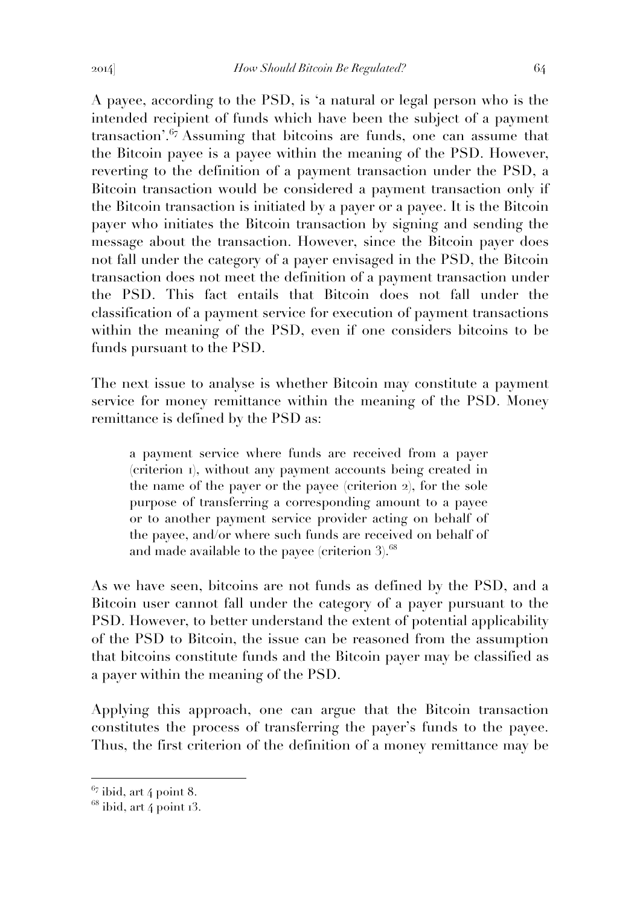A payee, according to the PSD, is 'a natural or legal person who is the intended recipient of funds which have been the subject of a payment transaction'.<sup>67</sup> Assuming that bitcoins are funds, one can assume that the Bitcoin payee is a payee within the meaning of the PSD. However, reverting to the definition of a payment transaction under the PSD, a Bitcoin transaction would be considered a payment transaction only if the Bitcoin transaction is initiated by a payer or a payee. It is the Bitcoin payer who initiates the Bitcoin transaction by signing and sending the message about the transaction. However, since the Bitcoin payer does not fall under the category of a payer envisaged in the PSD, the Bitcoin transaction does not meet the definition of a payment transaction under the PSD. This fact entails that Bitcoin does not fall under the classification of a payment service for execution of payment transactions within the meaning of the PSD, even if one considers bitcoins to be funds pursuant to the PSD.

The next issue to analyse is whether Bitcoin may constitute a payment service for money remittance within the meaning of the PSD. Money remittance is defined by the PSD as:

a payment service where funds are received from a payer (criterion 1), without any payment accounts being created in the name of the payer or the payee (criterion 2), for the sole purpose of transferring a corresponding amount to a payee or to another payment service provider acting on behalf of the payee, and/or where such funds are received on behalf of and made available to the payee (criterion  $3$ ).<sup>68</sup>

As we have seen, bitcoins are not funds as defined by the PSD, and a Bitcoin user cannot fall under the category of a payer pursuant to the PSD. However, to better understand the extent of potential applicability of the PSD to Bitcoin, the issue can be reasoned from the assumption that bitcoins constitute funds and the Bitcoin payer may be classified as a payer within the meaning of the PSD.

Applying this approach, one can argue that the Bitcoin transaction constitutes the process of transferring the payer's funds to the payee. Thus, the first criterion of the definition of a money remittance may be

 $67$  ibid, art 4 point 8.

 $68$  ibid, art 4 point  $13$ .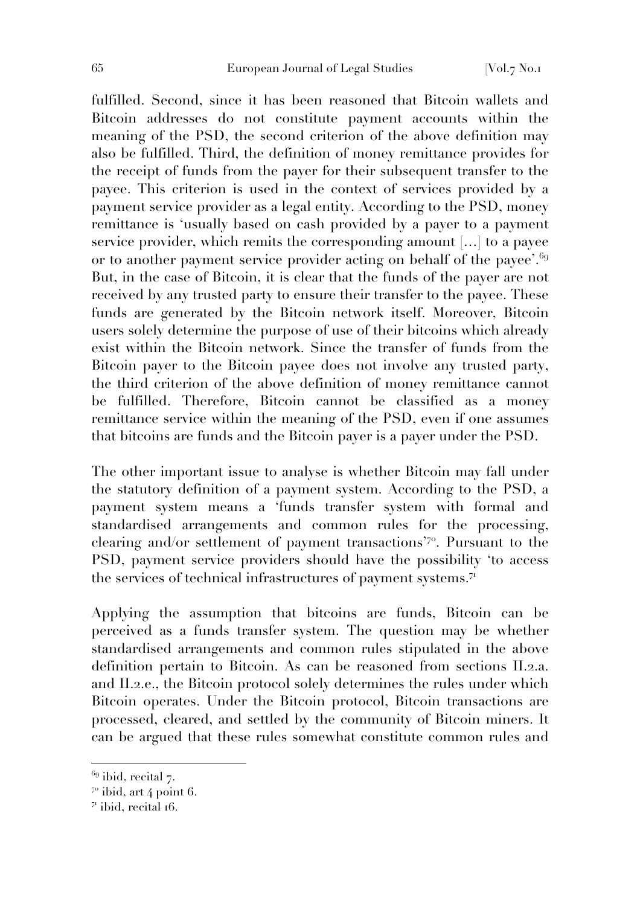fulfilled. Second, since it has been reasoned that Bitcoin wallets and Bitcoin addresses do not constitute payment accounts within the meaning of the PSD, the second criterion of the above definition may also be fulfilled. Third, the definition of money remittance provides for the receipt of funds from the payer for their subsequent transfer to the payee. This criterion is used in the context of services provided by a payment service provider as a legal entity. According to the PSD, money remittance is 'usually based on cash provided by a payer to a payment service provider, which remits the corresponding amount […] to a payee or to another payment service provider acting on behalf of the payee'.<sup>69</sup> But, in the case of Bitcoin, it is clear that the funds of the payer are not received by any trusted party to ensure their transfer to the payee. These funds are generated by the Bitcoin network itself. Moreover, Bitcoin users solely determine the purpose of use of their bitcoins which already exist within the Bitcoin network. Since the transfer of funds from the Bitcoin payer to the Bitcoin payee does not involve any trusted party, the third criterion of the above definition of money remittance cannot be fulfilled. Therefore, Bitcoin cannot be classified as a money remittance service within the meaning of the PSD, even if one assumes that bitcoins are funds and the Bitcoin payer is a payer under the PSD.

The other important issue to analyse is whether Bitcoin may fall under the statutory definition of a payment system. According to the PSD, a payment system means a 'funds transfer system with formal and standardised arrangements and common rules for the processing, clearing and/or settlement of payment transactions'<sup>70</sup>. Pursuant to the PSD, payment service providers should have the possibility 'to access the services of technical infrastructures of payment systems.<sup>71</sup>

Applying the assumption that bitcoins are funds, Bitcoin can be perceived as a funds transfer system. The question may be whether standardised arrangements and common rules stipulated in the above definition pertain to Bitcoin. As can be reasoned from sections II.2.a. and II.2.e., the Bitcoin protocol solely determines the rules under which Bitcoin operates. Under the Bitcoin protocol, Bitcoin transactions are processed, cleared, and settled by the community of Bitcoin miners. It can be argued that these rules somewhat constitute common rules and

 $69$  ibid, recital 7.

 $7°$  ibid, art 4 point 6.

 $7<sup>T</sup>$  ibid, recital 16.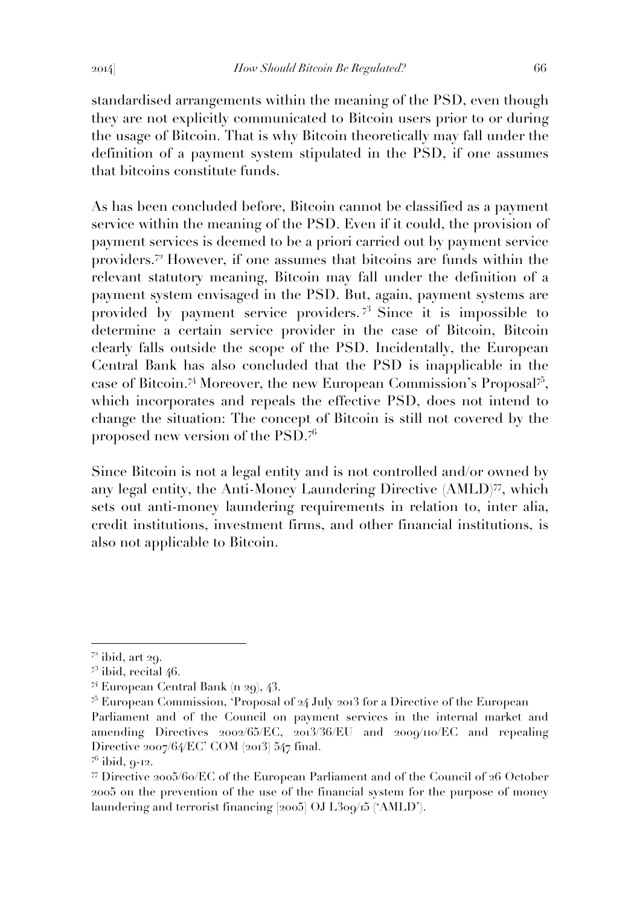standardised arrangements within the meaning of the PSD, even though they are not explicitly communicated to Bitcoin users prior to or during the usage of Bitcoin. That is why Bitcoin theoretically may fall under the definition of a payment system stipulated in the PSD, if one assumes that bitcoins constitute funds.

As has been concluded before, Bitcoin cannot be classified as a payment service within the meaning of the PSD. Even if it could, the provision of payment services is deemed to be a priori carried out by payment service providers.<sup>72</sup> However, if one assumes that bitcoins are funds within the relevant statutory meaning, Bitcoin may fall under the definition of a payment system envisaged in the PSD. But, again, payment systems are provided by payment service providers. <sup>73</sup> Since it is impossible to determine a certain service provider in the case of Bitcoin, Bitcoin clearly falls outside the scope of the PSD. Incidentally, the European Central Bank has also concluded that the PSD is inapplicable in the case of Bitcoin.<sup>74</sup> Moreover, the new European Commission's Proposal<sup>75</sup>, which incorporates and repeals the effective PSD, does not intend to change the situation: The concept of Bitcoin is still not covered by the proposed new version of the PSD.<sup>76</sup>

Since Bitcoin is not a legal entity and is not controlled and/or owned by any legal entity, the Anti-Money Laundering Directive (AMLD)<sup>77</sup>, which sets out anti-money laundering requirements in relation to, inter alia, credit institutions, investment firms, and other financial institutions, is also not applicable to Bitcoin.

 $7<sup>2</sup>$  ibid, art 29.

 $7<sup>3</sup>$  ibid, recital 46.

<sup>74</sup> European Central Bank (n 29), 43.

 $\frac{75}{2}$  European Commission, 'Proposal of 24 July 2013 for a Directive of the European Parliament and of the Council on payment services in the internal market and amending Directives 2002/65/EC, 2013/36/EU and 2009/110/EC and repealing Directive 2007/64/EC' COM (2013) 547 final.

 $^{76}$  ibid,  $9-12$ .

<sup>77</sup> Directive 2005/60/EC of the European Parliament and of the Council of 26 October 2005 on the prevention of the use of the financial system for the purpose of money laundering and terrorist financing [2005] OJ L309/15 ('AMLD').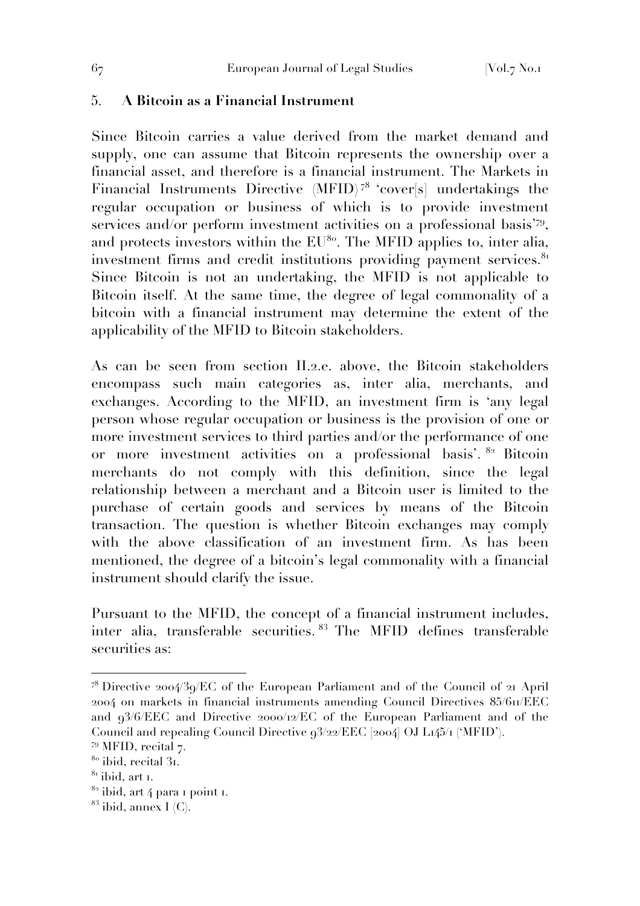## 5. **A Bitcoin as a Financial Instrument**

Since Bitcoin carries a value derived from the market demand and supply, one can assume that Bitcoin represents the ownership over a financial asset, and therefore is a financial instrument. The Markets in Financial Instruments Directive (MFID) <sup>78</sup> 'cover[s] undertakings the regular occupation or business of which is to provide investment services and/or perform investment activities on a professional basis'79, and protects investors within the  $EU^{80}$ . The MFID applies to, inter alia, investment firms and credit institutions providing payment services.<sup>81</sup> Since Bitcoin is not an undertaking, the MFID is not applicable to Bitcoin itself. At the same time, the degree of legal commonality of a bitcoin with a financial instrument may determine the extent of the applicability of the MFID to Bitcoin stakeholders.

As can be seen from section II.2.e. above, the Bitcoin stakeholders encompass such main categories as, inter alia, merchants, and exchanges. According to the MFID, an investment firm is 'any legal person whose regular occupation or business is the provision of one or more investment services to third parties and/or the performance of one or more investment activities on a professional basis'. <sup>82</sup> Bitcoin merchants do not comply with this definition, since the legal relationship between a merchant and a Bitcoin user is limited to the purchase of certain goods and services by means of the Bitcoin transaction. The question is whether Bitcoin exchanges may comply with the above classification of an investment firm. As has been mentioned, the degree of a bitcoin's legal commonality with a financial instrument should clarify the issue.

Pursuant to the MFID, the concept of a financial instrument includes, inter alia, transferable securities. <sup>83</sup> The MFID defines transferable securities as:

 $7^8$  Directive 2004/39/EC of the European Parliament and of the Council of 21 April 2004 on markets in financial instruments amending Council Directives 85/611/EEC and 93/6/EEC and Directive 2000/12/EC of the European Parliament and of the Council and repealing Council Directive 93/22/EEC [2004] OJ L145/1 ('MFID').

<sup>&</sup>lt;sup>79</sup> MFID, recital 7.

 $80$  ibid, recital 31.

 $81$  ibid, art 1.

 $82$  ibid, art 4 para 1 point 1.

 $83$  ibid, annex I (C).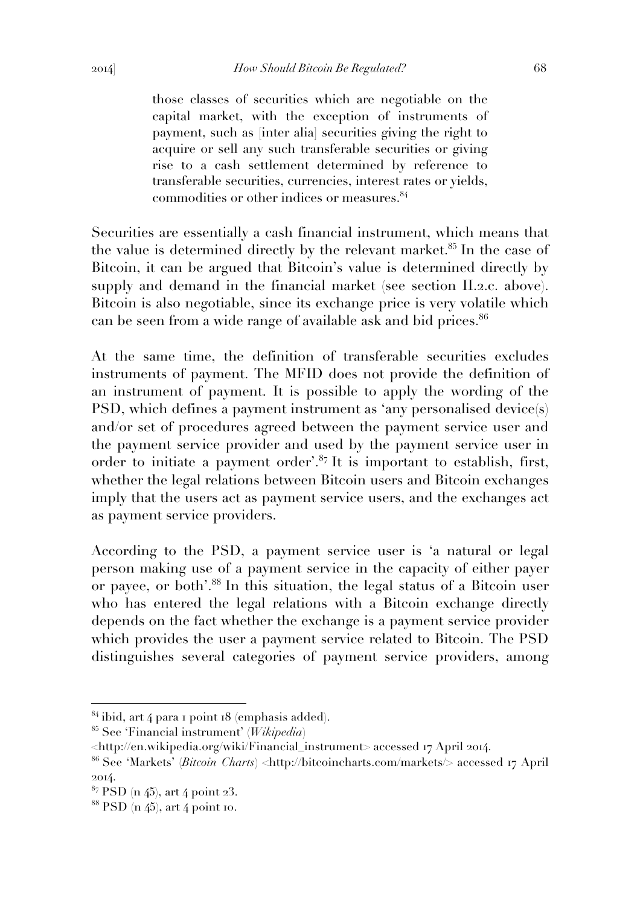those classes of securities which are negotiable on the capital market, with the exception of instruments of payment, such as [inter alia] securities giving the right to acquire or sell any such transferable securities or giving rise to a cash settlement determined by reference to transferable securities, currencies, interest rates or yields,

Securities are essentially a cash financial instrument, which means that the value is determined directly by the relevant market.<sup>85</sup> In the case of Bitcoin, it can be argued that Bitcoin's value is determined directly by supply and demand in the financial market (see section II.2.c. above). Bitcoin is also negotiable, since its exchange price is very volatile which can be seen from a wide range of available ask and bid prices.<sup>86</sup>

commodities or other indices or measures.<sup>84</sup>

At the same time, the definition of transferable securities excludes instruments of payment. The MFID does not provide the definition of an instrument of payment. It is possible to apply the wording of the PSD, which defines a payment instrument as 'any personalised device(s) and/or set of procedures agreed between the payment service user and the payment service provider and used by the payment service user in order to initiate a payment order'.<sup>87</sup> It is important to establish, first, whether the legal relations between Bitcoin users and Bitcoin exchanges imply that the users act as payment service users, and the exchanges act as payment service providers.

According to the PSD, a payment service user is 'a natural or legal person making use of a payment service in the capacity of either payer or payee, or both'.<sup>88</sup> In this situation, the legal status of a Bitcoin user who has entered the legal relations with a Bitcoin exchange directly depends on the fact whether the exchange is a payment service provider which provides the user a payment service related to Bitcoin. The PSD distinguishes several categories of payment service providers, among

 $84$  ibid, art 4 para 1 point 18 (emphasis added).

<sup>85</sup> See 'Financial instrument' (*Wikipedia*)

<sup>&</sup>lt;http://en.wikipedia.org/wiki/Financial\_instrument> accessed 17 April 2014.

<sup>86</sup> See 'Markets' (*Bitcoin Charts*) <http://bitcoincharts.com/markets/> accessed 17 April 2014.

 $87$  PSD (n 45), art 4 point 23.

 $88$  PSD (n  $45$ ), art 4 point 10.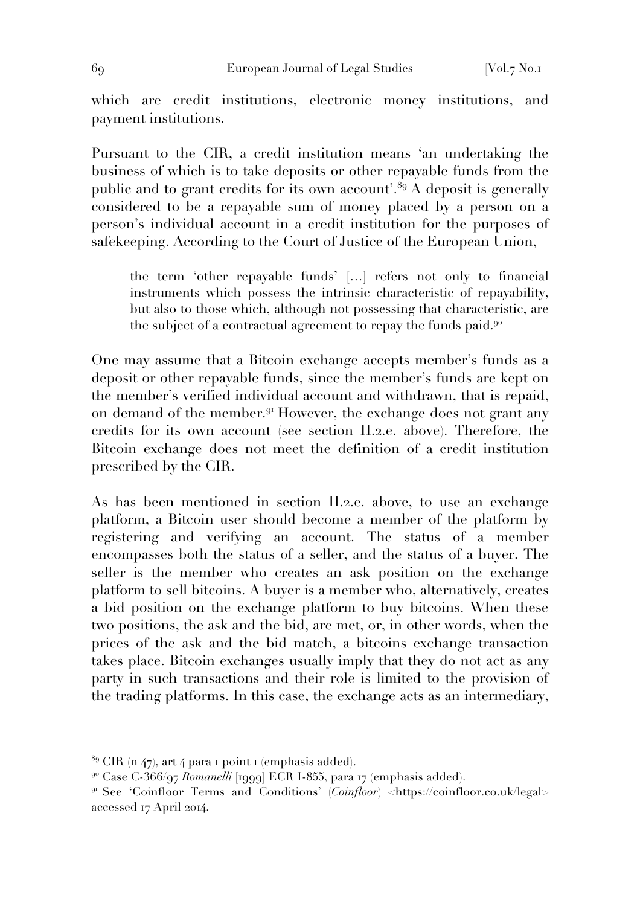which are credit institutions, electronic money institutions, and payment institutions.

Pursuant to the CIR, a credit institution means 'an undertaking the business of which is to take deposits or other repayable funds from the public and to grant credits for its own account'.<sup>89</sup> A deposit is generally considered to be a repayable sum of money placed by a person on a person's individual account in a credit institution for the purposes of safekeeping. According to the Court of Justice of the European Union,

the term 'other repayable funds' […] refers not only to financial instruments which possess the intrinsic characteristic of repayability, but also to those which, although not possessing that characteristic, are the subject of a contractual agreement to repay the funds paid. $9^{\circ}$ 

One may assume that a Bitcoin exchange accepts member's funds as a deposit or other repayable funds, since the member's funds are kept on the member's verified individual account and withdrawn, that is repaid, on demand of the member.<sup>91</sup> However, the exchange does not grant any credits for its own account (see section II.2.e. above). Therefore, the Bitcoin exchange does not meet the definition of a credit institution prescribed by the CIR.

As has been mentioned in section II.2.e. above, to use an exchange platform, a Bitcoin user should become a member of the platform by registering and verifying an account. The status of a member encompasses both the status of a seller, and the status of a buyer. The seller is the member who creates an ask position on the exchange platform to sell bitcoins. A buyer is a member who, alternatively, creates a bid position on the exchange platform to buy bitcoins. When these two positions, the ask and the bid, are met, or, in other words, when the prices of the ask and the bid match, a bitcoins exchange transaction takes place. Bitcoin exchanges usually imply that they do not act as any party in such transactions and their role is limited to the provision of the trading platforms. In this case, the exchange acts as an intermediary,

 $89$  CIR (n 47), art 4 para 1 point 1 (emphasis added).

<sup>90</sup> Case C-366/97 *Romanelli* [1999] ECR I-855, para 17 (emphasis added).

<sup>&</sup>lt;sup>91</sup> See 'Coinfloor Terms and Conditions' (*Coinfloor*) <https://coinfloor.co.uk/legal> accessed 17 April 2014.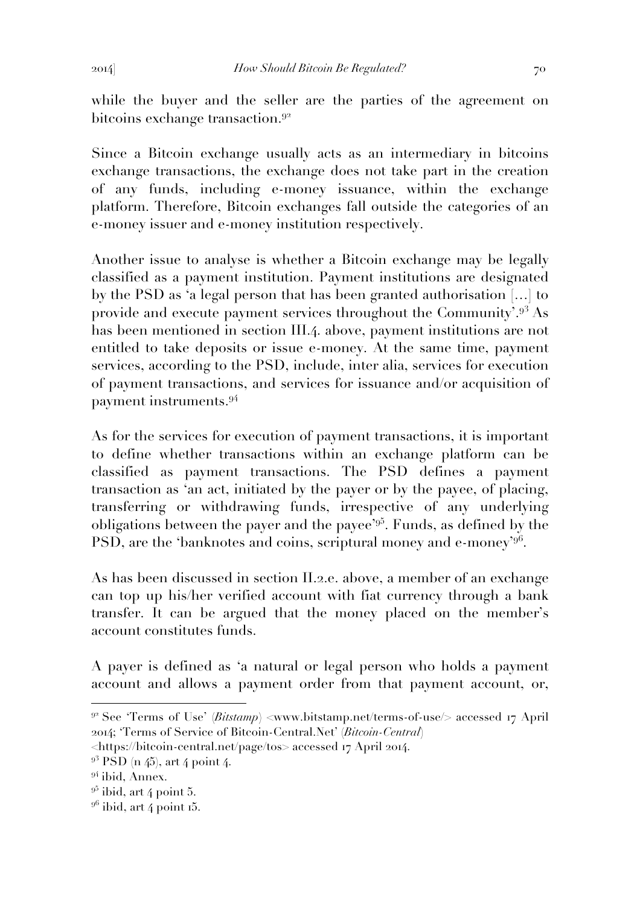while the buyer and the seller are the parties of the agreement on bitcoins exchange transaction.<sup>92</sup>

Since a Bitcoin exchange usually acts as an intermediary in bitcoins exchange transactions, the exchange does not take part in the creation of any funds, including e-money issuance, within the exchange platform. Therefore, Bitcoin exchanges fall outside the categories of an e-money issuer and e-money institution respectively.

Another issue to analyse is whether a Bitcoin exchange may be legally classified as a payment institution. Payment institutions are designated by the PSD as 'a legal person that has been granted authorisation […] to provide and execute payment services throughout the Community'.<sup>93</sup> As has been mentioned in section III.4. above, payment institutions are not entitled to take deposits or issue e-money. At the same time, payment services, according to the PSD, include, inter alia, services for execution of payment transactions, and services for issuance and/or acquisition of payment instruments.<sup>94</sup>

As for the services for execution of payment transactions, it is important to define whether transactions within an exchange platform can be classified as payment transactions. The PSD defines a payment transaction as 'an act, initiated by the payer or by the payee, of placing, transferring or withdrawing funds, irrespective of any underlying obligations between the payer and the payee'<sup>95</sup>. Funds, as defined by the PSD, are the 'banknotes and coins, scriptural money and e-money'<sup>96</sup>.

As has been discussed in section II.2.e. above, a member of an exchange can top up his/her verified account with fiat currency through a bank transfer. It can be argued that the money placed on the member's account constitutes funds.

A payer is defined as 'a natural or legal person who holds a payment account and allows a payment order from that payment account, or,

<sup>&</sup>lt;sup>92</sup> See 'Terms of Use' (*Bitstamp*) <www.bitstamp.net/terms-of-use/> accessed 17 April 2014; 'Terms of Service of Bitcoin-Central.Net' (*Bitcoin-Central*)

<sup>&</sup>lt;https://bitcoin-central.net/page/tos> accessed 17 April 2014.

 $9<sup>3</sup>$  PSD (n 45), art 4 point 4.

<sup>&</sup>lt;sup>94</sup> ibid, Annex.

 $9^5$  ibid, art 4 point 5.

 $9^6$  ibid, art 4 point 15.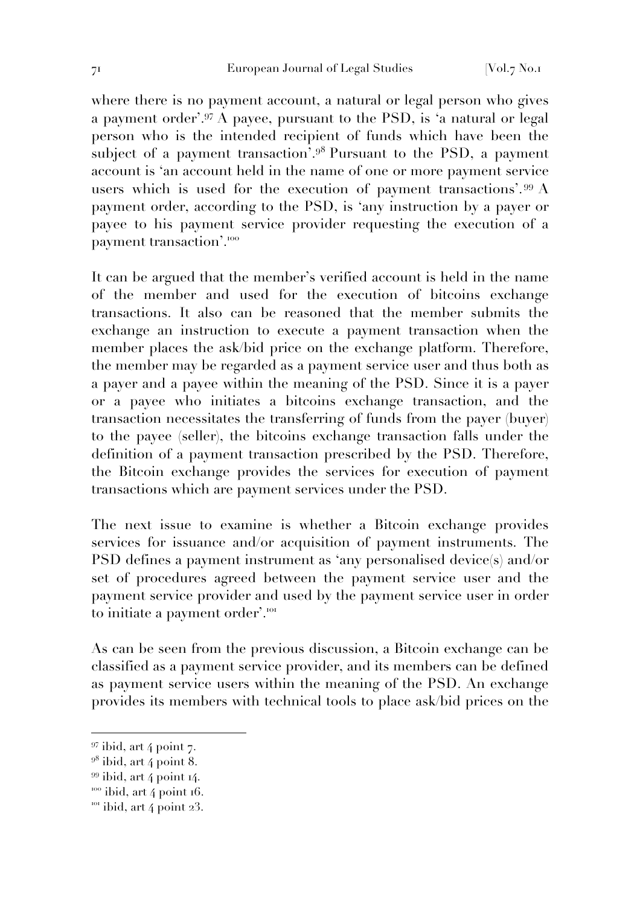where there is no payment account, a natural or legal person who gives a payment order'.<sup>97</sup> A payee, pursuant to the PSD, is 'a natural or legal person who is the intended recipient of funds which have been the subject of a payment transaction'.<sup>98</sup> Pursuant to the PSD, a payment account is 'an account held in the name of one or more payment service users which is used for the execution of payment transactions'.<sup>99</sup> A payment order, according to the PSD, is 'any instruction by a payer or payee to his payment service provider requesting the execution of a payment transaction'.<sup>100</sup>

It can be argued that the member's verified account is held in the name of the member and used for the execution of bitcoins exchange transactions. It also can be reasoned that the member submits the exchange an instruction to execute a payment transaction when the member places the ask/bid price on the exchange platform. Therefore, the member may be regarded as a payment service user and thus both as a payer and a payee within the meaning of the PSD. Since it is a payer or a payee who initiates a bitcoins exchange transaction, and the transaction necessitates the transferring of funds from the payer (buyer) to the payee (seller), the bitcoins exchange transaction falls under the definition of a payment transaction prescribed by the PSD. Therefore, the Bitcoin exchange provides the services for execution of payment transactions which are payment services under the PSD.

The next issue to examine is whether a Bitcoin exchange provides services for issuance and/or acquisition of payment instruments. The PSD defines a payment instrument as 'any personalised device(s) and/or set of procedures agreed between the payment service user and the payment service provider and used by the payment service user in order to initiate a payment order'.<sup>101</sup>

As can be seen from the previous discussion, a Bitcoin exchange can be classified as a payment service provider, and its members can be defined as payment service users within the meaning of the PSD. An exchange provides its members with technical tools to place ask/bid prices on the

 $97$  ibid, art 4 point 7.

 $9^8$  ibid, art 4 point 8.

<sup>99</sup> ibid, art 4 point 14.

 $100$  ibid, art 4 point 16.

 $101$  ibid, art 4 point 23.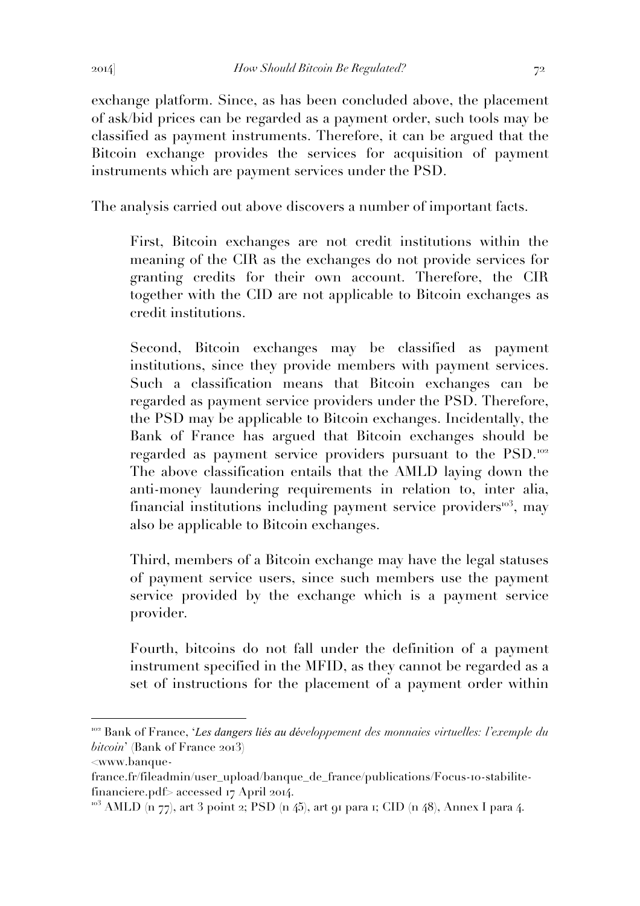exchange platform. Since, as has been concluded above, the placement of ask/bid prices can be regarded as a payment order, such tools may be classified as payment instruments. Therefore, it can be argued that the Bitcoin exchange provides the services for acquisition of payment instruments which are payment services under the PSD.

The analysis carried out above discovers a number of important facts.

First, Bitcoin exchanges are not credit institutions within the meaning of the CIR as the exchanges do not provide services for granting credits for their own account. Therefore, the CIR together with the CID are not applicable to Bitcoin exchanges as credit institutions.

Second, Bitcoin exchanges may be classified as payment institutions, since they provide members with payment services. Such a classification means that Bitcoin exchanges can be regarded as payment service providers under the PSD. Therefore, the PSD may be applicable to Bitcoin exchanges. Incidentally, the Bank of France has argued that Bitcoin exchanges should be regarded as payment service providers pursuant to the PSD.<sup>102</sup> The above classification entails that the AMLD laying down the anti-money laundering requirements in relation to, inter alia, financial institutions including payment service providers $103$ , may also be applicable to Bitcoin exchanges.

Third, members of a Bitcoin exchange may have the legal statuses of payment service users, since such members use the payment service provided by the exchange which is a payment service provider.

Fourth, bitcoins do not fall under the definition of a payment instrument specified in the MFID, as they cannot be regarded as a set of instructions for the placement of a payment order within

<sup>102</sup> Bank of France, '*Les dangers liés au développement des monnaies virtuelles: l'exemple du bitcoin*' (Bank of France 2013)

<sup>&</sup>lt;www.banque-

france.fr/fileadmin/user\_upload/banque\_de\_france/publications/Focus-10-stabilitefinanciere.pdf> accessed 17 April 2014.

 $103$  AMLD (n 77), art 3 point 2; PSD (n 45), art 91 para 1; CID (n 48), Annex I para 4.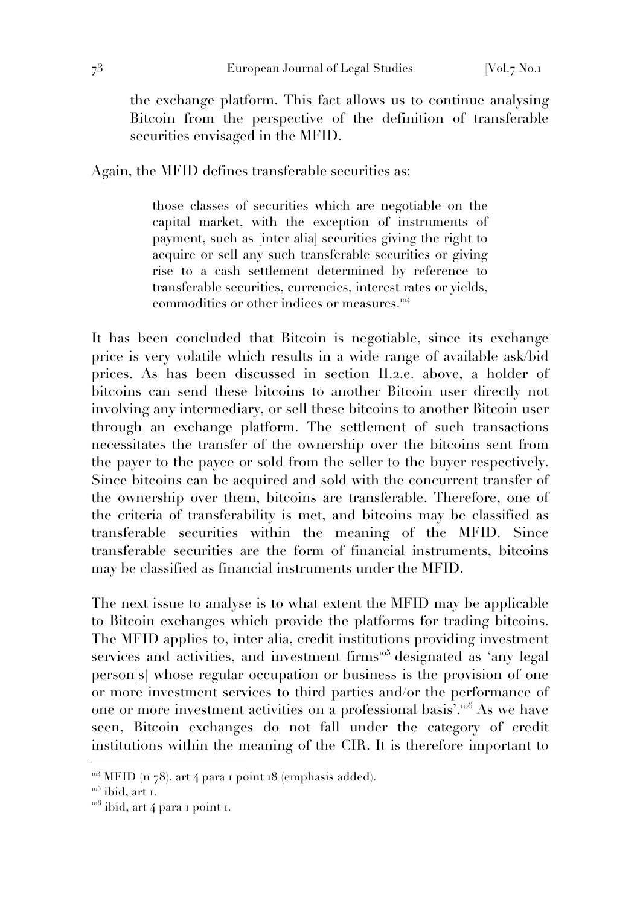the exchange platform. This fact allows us to continue analysing Bitcoin from the perspective of the definition of transferable securities envisaged in the MFID.

Again, the MFID defines transferable securities as:

those classes of securities which are negotiable on the capital market, with the exception of instruments of payment, such as [inter alia] securities giving the right to acquire or sell any such transferable securities or giving rise to a cash settlement determined by reference to transferable securities, currencies, interest rates or yields, commodities or other indices or measures.<sup>104</sup>

It has been concluded that Bitcoin is negotiable, since its exchange price is very volatile which results in a wide range of available ask/bid prices. As has been discussed in section II.2.e. above, a holder of bitcoins can send these bitcoins to another Bitcoin user directly not involving any intermediary, or sell these bitcoins to another Bitcoin user through an exchange platform. The settlement of such transactions necessitates the transfer of the ownership over the bitcoins sent from the payer to the payee or sold from the seller to the buyer respectively. Since bitcoins can be acquired and sold with the concurrent transfer of the ownership over them, bitcoins are transferable. Therefore, one of the criteria of transferability is met, and bitcoins may be classified as transferable securities within the meaning of the MFID. Since transferable securities are the form of financial instruments, bitcoins may be classified as financial instruments under the MFID.

The next issue to analyse is to what extent the MFID may be applicable to Bitcoin exchanges which provide the platforms for trading bitcoins. The MFID applies to, inter alia, credit institutions providing investment services and activities, and investment firms<sup>105</sup> designated as 'any legal person[s] whose regular occupation or business is the provision of one or more investment services to third parties and/or the performance of one or more investment activities on a professional basis'.<sup>106</sup> As we have seen, Bitcoin exchanges do not fall under the category of credit institutions within the meaning of the CIR. It is therefore important to

 $104$  MFID (n 78), art 4 para 1 point 18 (emphasis added).

 $105$  ibid, art 1.

 $10^{106}$  ibid, art 4 para 1 point 1.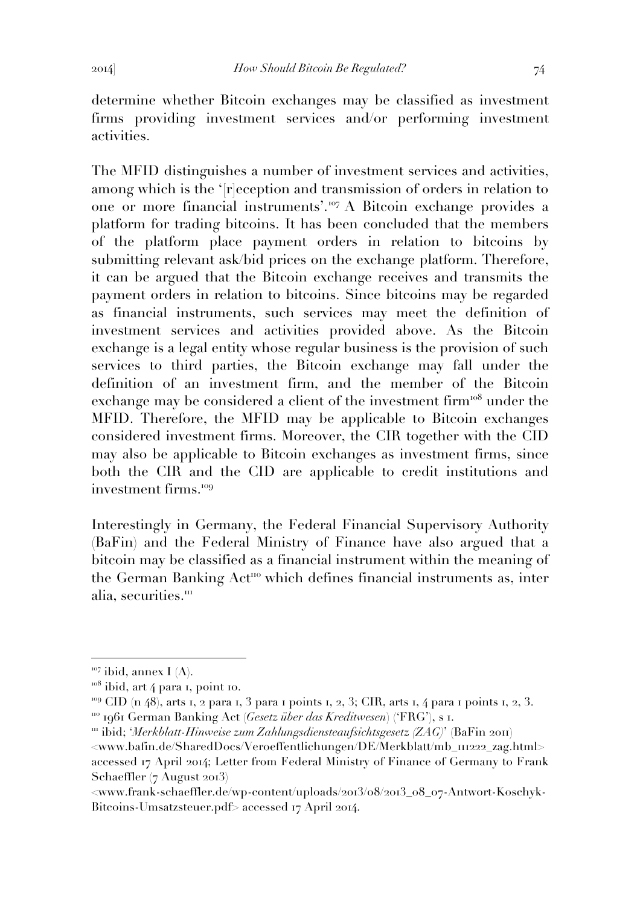determine whether Bitcoin exchanges may be classified as investment firms providing investment services and/or performing investment activities.

The MFID distinguishes a number of investment services and activities, among which is the '[r]eception and transmission of orders in relation to one or more financial instruments'.<sup>107</sup> A Bitcoin exchange provides a platform for trading bitcoins. It has been concluded that the members of the platform place payment orders in relation to bitcoins by submitting relevant ask/bid prices on the exchange platform. Therefore, it can be argued that the Bitcoin exchange receives and transmits the payment orders in relation to bitcoins. Since bitcoins may be regarded as financial instruments, such services may meet the definition of investment services and activities provided above. As the Bitcoin exchange is a legal entity whose regular business is the provision of such services to third parties, the Bitcoin exchange may fall under the definition of an investment firm, and the member of the Bitcoin exchange may be considered a client of the investment firm<sup>108</sup> under the MFID. Therefore, the MFID may be applicable to Bitcoin exchanges considered investment firms. Moreover, the CIR together with the CID may also be applicable to Bitcoin exchanges as investment firms, since both the CIR and the CID are applicable to credit institutions and investment firms.<sup>109</sup>

Interestingly in Germany, the Federal Financial Supervisory Authority (BaFin) and the Federal Ministry of Finance have also argued that a bitcoin may be classified as a financial instrument within the meaning of the German Banking Act<sup>110</sup> which defines financial instruments as, inter alia, securities.<sup>111</sup>

 $107$  ibid, annex I (A).

 $108$  ibid, art 4 para 1, point 10.

<sup>&</sup>lt;sup>109</sup> CID (n 48), arts 1, 2 para 1, 3 para 1 points 1, 2, 3; CIR, arts 1, 4 para 1 points 1, 2, 3. <sup>110</sup> 1961 German Banking Act (*Gesetz über das Kreditwesen*) ('FRG'), s 1.

<sup>&</sup>lt;sup>111</sup> ibid; '*Merkblatt-Hinweise zum Zahlungsdiensteaufsichtsgesetz (ZAG)*' (BaFin 2011)

<sup>&</sup>lt;www.bafin.de/SharedDocs/Veroeffentlichungen/DE/Merkblatt/mb\_111222\_zag.html> accessed 17 April 2014; Letter from Federal Ministry of Finance of Germany to Frank Schaeffler (7 August 2013)

<sup>&</sup>lt;www.frank-schaeffler.de/wp-content/uploads/2013/08/2013\_08\_07-Antwort-Koschyk-Bitcoins-Umsatzsteuer.pdf> accessed 17 April 2014.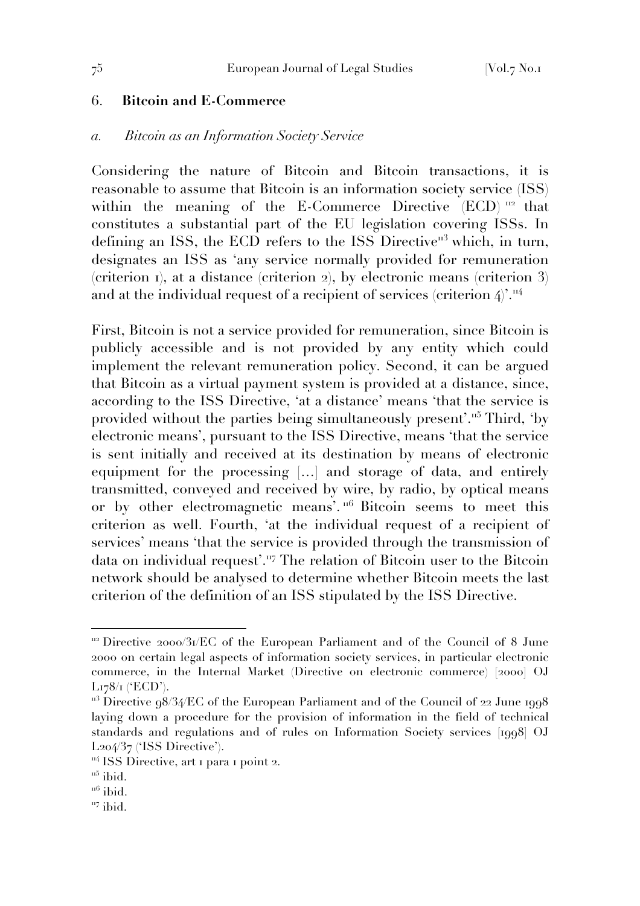### 6. **Bitcoin and E-Commerce**

### *a. Bitcoin as an Information Society Service*

Considering the nature of Bitcoin and Bitcoin transactions, it is reasonable to assume that Bitcoin is an information society service (ISS) within the meaning of the E-Commerce Directive (ECD)<sup>112</sup> that constitutes a substantial part of the EU legislation covering ISSs. In defining an ISS, the ECD refers to the ISS Directive<sup> $n<sup>3</sup>$ </sup> which, in turn, designates an ISS as 'any service normally provided for remuneration (criterion 1), at a distance (criterion 2), by electronic means (criterion 3) and at the individual request of a recipient of services (criterion  $4$ )'.<sup>114</sup>

First, Bitcoin is not a service provided for remuneration, since Bitcoin is publicly accessible and is not provided by any entity which could implement the relevant remuneration policy. Second, it can be argued that Bitcoin as a virtual payment system is provided at a distance, since, according to the ISS Directive, 'at a distance' means 'that the service is provided without the parties being simultaneously present'.<sup>115</sup> Third, 'by electronic means', pursuant to the ISS Directive, means 'that the service is sent initially and received at its destination by means of electronic equipment for the processing […] and storage of data, and entirely transmitted, conveyed and received by wire, by radio, by optical means or by other electromagnetic means'.<sup>116</sup> Bitcoin seems to meet this criterion as well. Fourth, 'at the individual request of a recipient of services' means 'that the service is provided through the transmission of data on individual request'.<sup>117</sup> The relation of Bitcoin user to the Bitcoin network should be analysed to determine whether Bitcoin meets the last criterion of the definition of an ISS stipulated by the ISS Directive.

 $112$  Directive 2000/31/EC of the European Parliament and of the Council of 8 June 2000 on certain legal aspects of information society services, in particular electronic commerce, in the Internal Market (Directive on electronic commerce) [2000] OJ L178/1 ('ECD').

 $113$  Directive  $98/34$ /EC of the European Parliament and of the Council of 22 June 1998 laying down a procedure for the provision of information in the field of technical standards and regulations and of rules on Information Society services [1998] OJ L204/37 ('ISS Directive').

 $\frac{114}{155}$  Directive, art 1 para 1 point 2.

 $115$  ibid.

 $116$  ibid.

 $117$  ibid.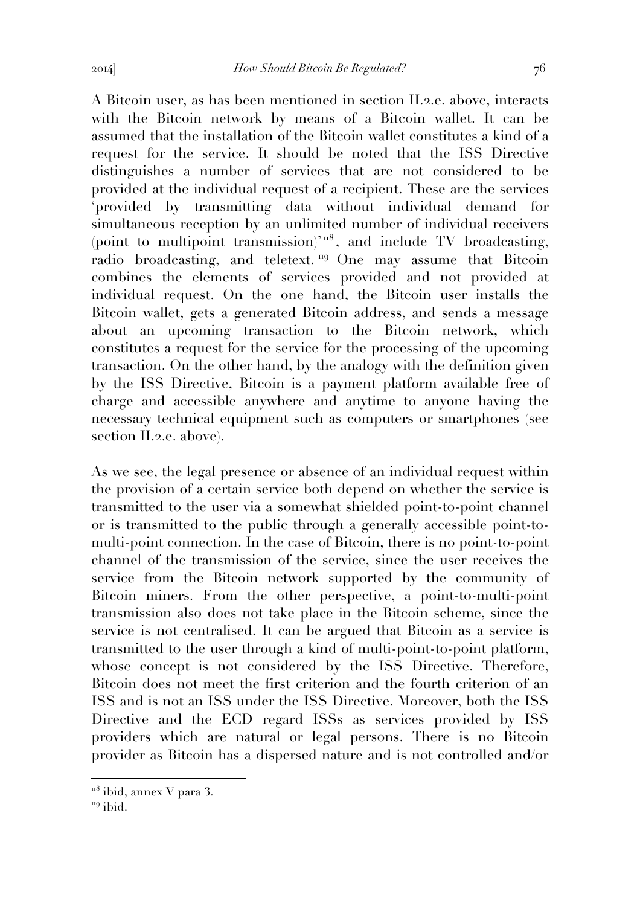A Bitcoin user, as has been mentioned in section II.2.e. above, interacts with the Bitcoin network by means of a Bitcoin wallet. It can be assumed that the installation of the Bitcoin wallet constitutes a kind of a request for the service. It should be noted that the ISS Directive distinguishes a number of services that are not considered to be provided at the individual request of a recipient. These are the services 'provided by transmitting data without individual demand for simultaneous reception by an unlimited number of individual receivers (point to multipoint transmission)<sup>'  $\pi$ 8</sup>, and include TV broadcasting, radio broadcasting, and teletext.<sup>119</sup> One may assume that Bitcoin combines the elements of services provided and not provided at individual request. On the one hand, the Bitcoin user installs the Bitcoin wallet, gets a generated Bitcoin address, and sends a message about an upcoming transaction to the Bitcoin network, which constitutes a request for the service for the processing of the upcoming transaction. On the other hand, by the analogy with the definition given by the ISS Directive, Bitcoin is a payment platform available free of charge and accessible anywhere and anytime to anyone having the necessary technical equipment such as computers or smartphones (see section II.2.e. above).

As we see, the legal presence or absence of an individual request within the provision of a certain service both depend on whether the service is transmitted to the user via a somewhat shielded point-to-point channel or is transmitted to the public through a generally accessible point-tomulti-point connection. In the case of Bitcoin, there is no point-to-point channel of the transmission of the service, since the user receives the service from the Bitcoin network supported by the community of Bitcoin miners. From the other perspective, a point-to-multi-point transmission also does not take place in the Bitcoin scheme, since the service is not centralised. It can be argued that Bitcoin as a service is transmitted to the user through a kind of multi-point-to-point platform, whose concept is not considered by the ISS Directive. Therefore, Bitcoin does not meet the first criterion and the fourth criterion of an ISS and is not an ISS under the ISS Directive. Moreover, both the ISS Directive and the ECD regard ISSs as services provided by ISS providers which are natural or legal persons. There is no Bitcoin provider as Bitcoin has a dispersed nature and is not controlled and/or

 $118$  ibid, annex V para 3.

 $119$  ibid.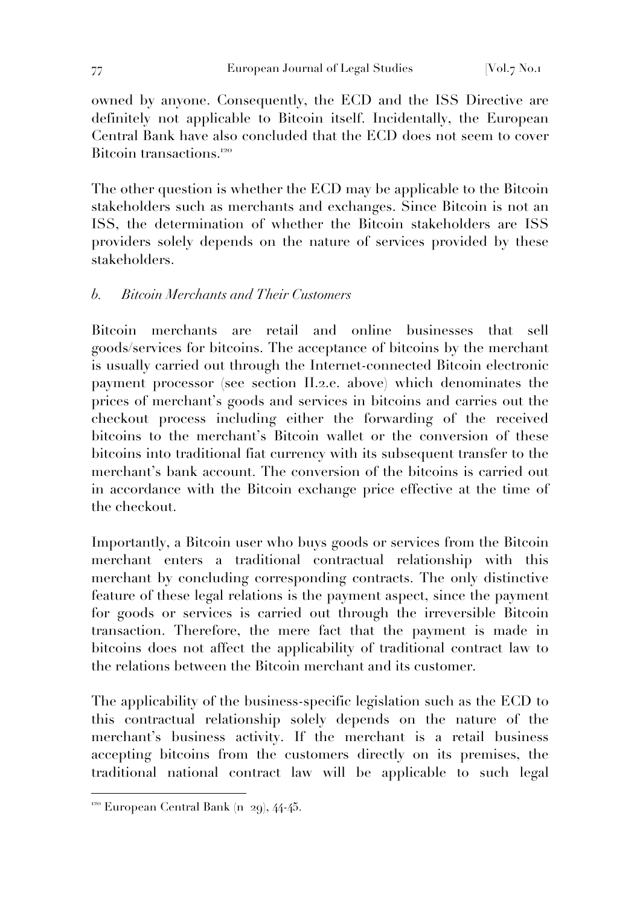owned by anyone. Consequently, the ECD and the ISS Directive are definitely not applicable to Bitcoin itself. Incidentally, the European Central Bank have also concluded that the ECD does not seem to cover Bitcoin transactions.<sup>120</sup>

The other question is whether the ECD may be applicable to the Bitcoin stakeholders such as merchants and exchanges. Since Bitcoin is not an ISS, the determination of whether the Bitcoin stakeholders are ISS providers solely depends on the nature of services provided by these stakeholders.

# *b. Bitcoin Merchants and Their Customers*

Bitcoin merchants are retail and online businesses that sell goods/services for bitcoins. The acceptance of bitcoins by the merchant is usually carried out through the Internet-connected Bitcoin electronic payment processor (see section II.2.e. above) which denominates the prices of merchant's goods and services in bitcoins and carries out the checkout process including either the forwarding of the received bitcoins to the merchant's Bitcoin wallet or the conversion of these bitcoins into traditional fiat currency with its subsequent transfer to the merchant's bank account. The conversion of the bitcoins is carried out in accordance with the Bitcoin exchange price effective at the time of the checkout.

Importantly, a Bitcoin user who buys goods or services from the Bitcoin merchant enters a traditional contractual relationship with this merchant by concluding corresponding contracts. The only distinctive feature of these legal relations is the payment aspect, since the payment for goods or services is carried out through the irreversible Bitcoin transaction. Therefore, the mere fact that the payment is made in bitcoins does not affect the applicability of traditional contract law to the relations between the Bitcoin merchant and its customer.

The applicability of the business-specific legislation such as the ECD to this contractual relationship solely depends on the nature of the merchant's business activity. If the merchant is a retail business accepting bitcoins from the customers directly on its premises, the traditional national contract law will be applicable to such legal

 $120$  European Central Bank (n 29), 44-45.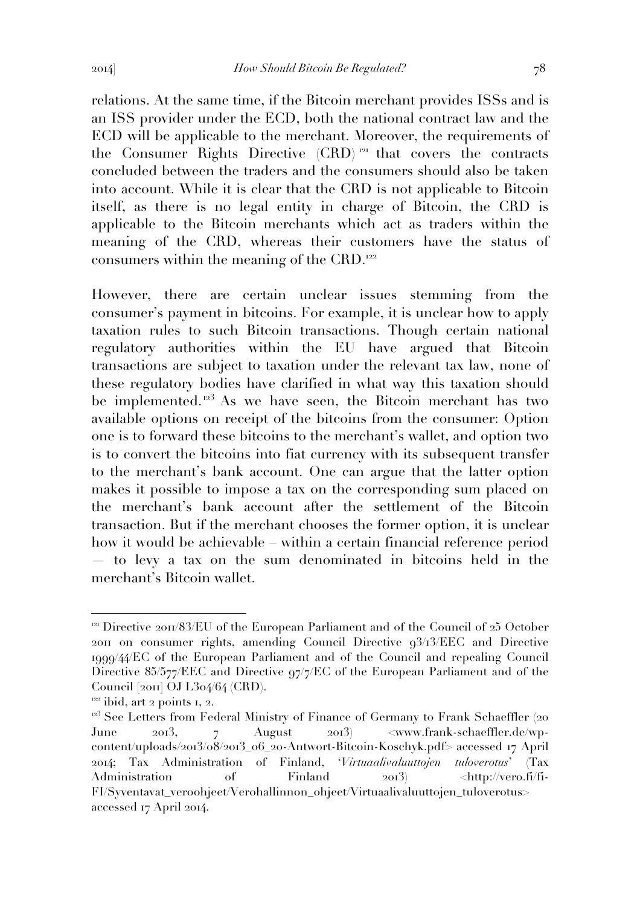relations. At the same time, if the Bitcoin merchant provides ISSs and is an ISS provider under the ECD, both the national contract law and the ECD will be applicable to the merchant. Moreover, the requirements of the Consumer Rights Directive (CRD) <sup>121</sup> that covers the contracts concluded between the traders and the consumers should also be taken into account. While it is clear that the CRD is not applicable to Bitcoin itself, as there is no legal entity in charge of Bitcoin, the CRD is applicable to the Bitcoin merchants which act as traders within the meaning of the CRD, whereas their customers have the status of consumers within the meaning of the CRD.<sup>122</sup>

However, there are certain unclear issues stemming from the consumer's payment in bitcoins. For example, it is unclear how to apply taxation rules to such Bitcoin transactions. Though certain national regulatory authorities within the EU have argued that Bitcoin transactions are subject to taxation under the relevant tax law, none of these regulatory bodies have clarified in what way this taxation should be implemented.<sup>123</sup> As we have seen, the Bitcoin merchant has two available options on receipt of the bitcoins from the consumer: Option one is to forward these bitcoins to the merchant's wallet, and option two is to convert the bitcoins into fiat currency with its subsequent transfer to the merchant's bank account. One can argue that the latter option makes it possible to impose a tax on the corresponding sum placed on the merchant's bank account after the settlement of the Bitcoin transaction. But if the merchant chooses the former option, it is unclear how it would be achievable – within a certain financial reference period

— to levy a tax on the sum denominated in bitcoins held in the merchant's Bitcoin wallet.

<sup>&</sup>lt;sup>121</sup> Directive 2011/83/EU of the European Parliament and of the Council of 25 October 2011 on consumer rights, amending Council Directive 93/13/EEC and Directive 1999/44/EC of the European Parliament and of the Council and repealing Council Directive 85/577/EEC and Directive 97/7/EC of the European Parliament and of the Council [2011] OJ L304/64 (CRD).

 $122$  ibid, art 2 points 1, 2.

<sup>&</sup>lt;sup>123</sup> See Letters from Federal Ministry of Finance of Germany to Frank Schaeffler (20 June 2013, 7 August 2013) <www.frank-schaeffler.de/wpcontent/uploads/2013/08/2013\_06\_20-Antwort-Bitcoin-Koschyk.pdf> accessed 17 April 2014; Tax Administration of Finland, '*Virtuaalivaluuttojen tuloverotus*' (Tax Administration of Finland 2013) <http://vero.fi/fi-FI/Syventavat\_veroohjeet/Verohallinnon\_ohjeet/Virtuaalivaluuttojen\_tuloverotus> accessed 17 April 2014.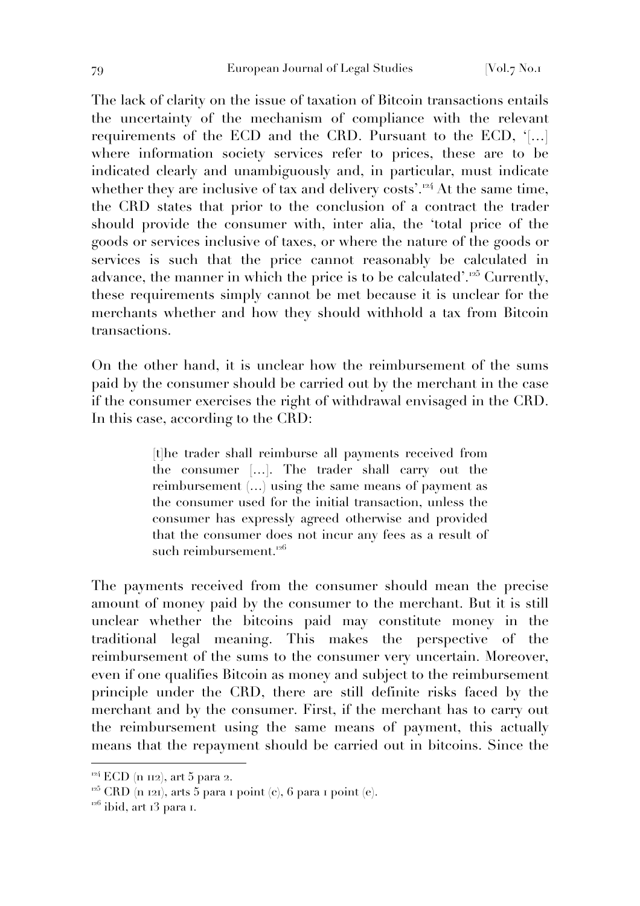The lack of clarity on the issue of taxation of Bitcoin transactions entails the uncertainty of the mechanism of compliance with the relevant requirements of the ECD and the CRD. Pursuant to the ECD, '[…] where information society services refer to prices, these are to be indicated clearly and unambiguously and, in particular, must indicate whether they are inclusive of tax and delivery costs'.<sup>124</sup> At the same time, the CRD states that prior to the conclusion of a contract the trader should provide the consumer with, inter alia, the 'total price of the goods or services inclusive of taxes, or where the nature of the goods or services is such that the price cannot reasonably be calculated in advance, the manner in which the price is to be calculated'. $25^{\circ}$  Currently, these requirements simply cannot be met because it is unclear for the merchants whether and how they should withhold a tax from Bitcoin transactions.

On the other hand, it is unclear how the reimbursement of the sums paid by the consumer should be carried out by the merchant in the case if the consumer exercises the right of withdrawal envisaged in the CRD. In this case, according to the CRD:

> [t]he trader shall reimburse all payments received from the consumer […]. The trader shall carry out the reimbursement (…) using the same means of payment as the consumer used for the initial transaction, unless the consumer has expressly agreed otherwise and provided that the consumer does not incur any fees as a result of such reimbursement.<sup>126</sup>

The payments received from the consumer should mean the precise amount of money paid by the consumer to the merchant. But it is still unclear whether the bitcoins paid may constitute money in the traditional legal meaning. This makes the perspective of the reimbursement of the sums to the consumer very uncertain. Moreover, even if one qualifies Bitcoin as money and subject to the reimbursement principle under the CRD, there are still definite risks faced by the merchant and by the consumer. First, if the merchant has to carry out the reimbursement using the same means of payment, this actually means that the repayment should be carried out in bitcoins. Since the

 $124$  ECD (n 112), art 5 para 2.

<sup>&</sup>lt;sup>125</sup> CRD (n 121), arts 5 para 1 point (c), 6 para 1 point (e).

 $126$  ibid, art 13 para 1.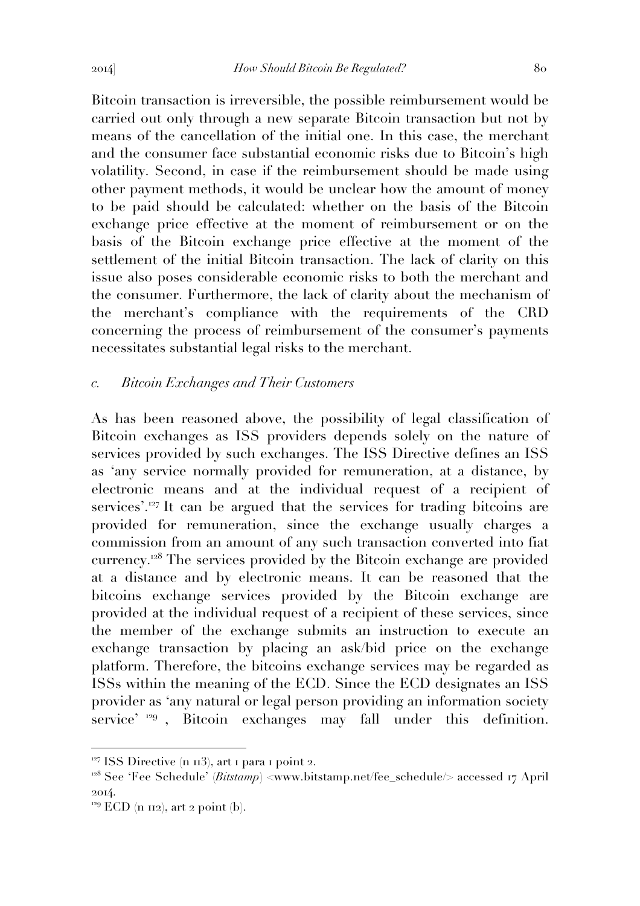Bitcoin transaction is irreversible, the possible reimbursement would be carried out only through a new separate Bitcoin transaction but not by means of the cancellation of the initial one. In this case, the merchant and the consumer face substantial economic risks due to Bitcoin's high volatility. Second, in case if the reimbursement should be made using other payment methods, it would be unclear how the amount of money to be paid should be calculated: whether on the basis of the Bitcoin exchange price effective at the moment of reimbursement or on the basis of the Bitcoin exchange price effective at the moment of the settlement of the initial Bitcoin transaction. The lack of clarity on this issue also poses considerable economic risks to both the merchant and the consumer. Furthermore, the lack of clarity about the mechanism of the merchant's compliance with the requirements of the CRD concerning the process of reimbursement of the consumer's payments necessitates substantial legal risks to the merchant.

### *c. Bitcoin Exchanges and Their Customers*

As has been reasoned above, the possibility of legal classification of Bitcoin exchanges as ISS providers depends solely on the nature of services provided by such exchanges. The ISS Directive defines an ISS as 'any service normally provided for remuneration, at a distance, by electronic means and at the individual request of a recipient of services'.<sup>127</sup> It can be argued that the services for trading bitcoins are provided for remuneration, since the exchange usually charges a commission from an amount of any such transaction converted into fiat currency.<sup>128</sup> The services provided by the Bitcoin exchange are provided at a distance and by electronic means. It can be reasoned that the bitcoins exchange services provided by the Bitcoin exchange are provided at the individual request of a recipient of these services, since the member of the exchange submits an instruction to execute an exchange transaction by placing an ask/bid price on the exchange platform. Therefore, the bitcoins exchange services may be regarded as ISSs within the meaning of the ECD. Since the ECD designates an ISS provider as 'any natural or legal person providing an information society service' <sup>129</sup>, Bitcoin exchanges may fall under this definition.

 $127$  ISS Directive (n 113), art 1 para 1 point 2.

<sup>&</sup>lt;sup>128</sup> See 'Fee Schedule' (*Bitstamp*) <www.bitstamp.net/fee\_schedule/> accessed 17 April 2014.

 $129$  ECD (n 112), art 2 point (b).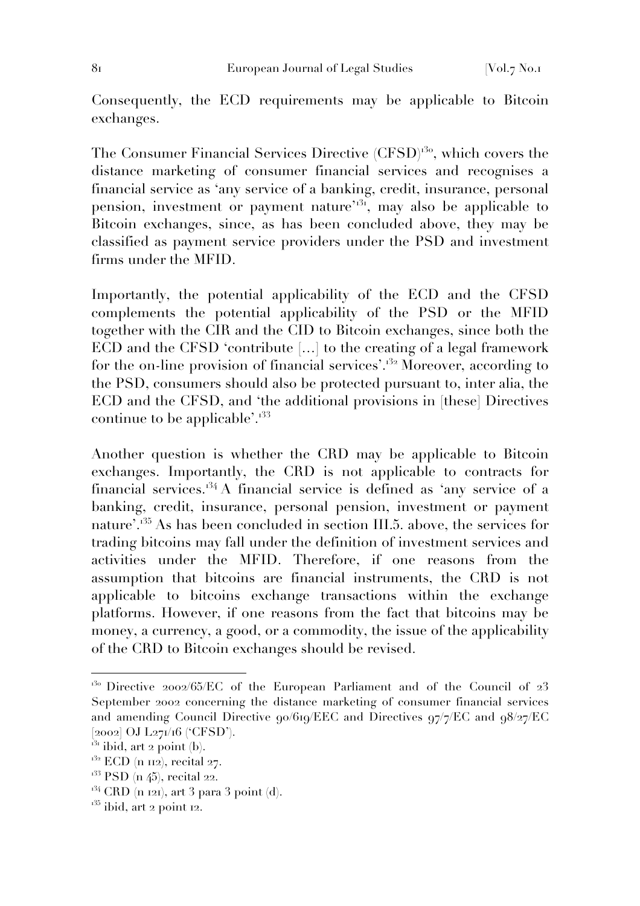Consequently, the ECD requirements may be applicable to Bitcoin exchanges.

The Consumer Financial Services Directive (CFSD)<sup>130</sup>, which covers the distance marketing of consumer financial services and recognises a financial service as 'any service of a banking, credit, insurance, personal pension, investment or payment nature<sup>731</sup>, may also be applicable to Bitcoin exchanges, since, as has been concluded above, they may be classified as payment service providers under the PSD and investment firms under the MFID.

Importantly, the potential applicability of the ECD and the CFSD complements the potential applicability of the PSD or the MFID together with the CIR and the CID to Bitcoin exchanges, since both the ECD and the CFSD 'contribute […] to the creating of a legal framework for the on-line provision of financial services'.<sup>32</sup> Moreover, according to the PSD, consumers should also be protected pursuant to, inter alia, the ECD and the CFSD, and 'the additional provisions in [these] Directives continue to be applicable'.<sup>133</sup>

Another question is whether the CRD may be applicable to Bitcoin exchanges. Importantly, the CRD is not applicable to contracts for financial services.<sup>134</sup> A financial service is defined as 'any service of a banking, credit, insurance, personal pension, investment or payment nature'.<sup>135</sup> As has been concluded in section III.5. above, the services for trading bitcoins may fall under the definition of investment services and activities under the MFID. Therefore, if one reasons from the assumption that bitcoins are financial instruments, the CRD is not applicable to bitcoins exchange transactions within the exchange platforms. However, if one reasons from the fact that bitcoins may be money, a currency, a good, or a commodity, the issue of the applicability of the CRD to Bitcoin exchanges should be revised.

 $130$  Directive 2002/65/EC of the European Parliament and of the Council of 23 September 2002 concerning the distance marketing of consumer financial services and amending Council Directive 90/619/EEC and Directives 97/7/EC and 98/27/EC [2002] OJ L271/16 ('CFSD').

 $\overline{1}^{31}$  ibid, art 2 point (b).

 $132$  ECD (n 112), recital 27.

 $133$  PSD (n 45), recital 22.

 $134$  CRD (n 121), art 3 para 3 point (d).

 $135$  ibid, art 2 point 12.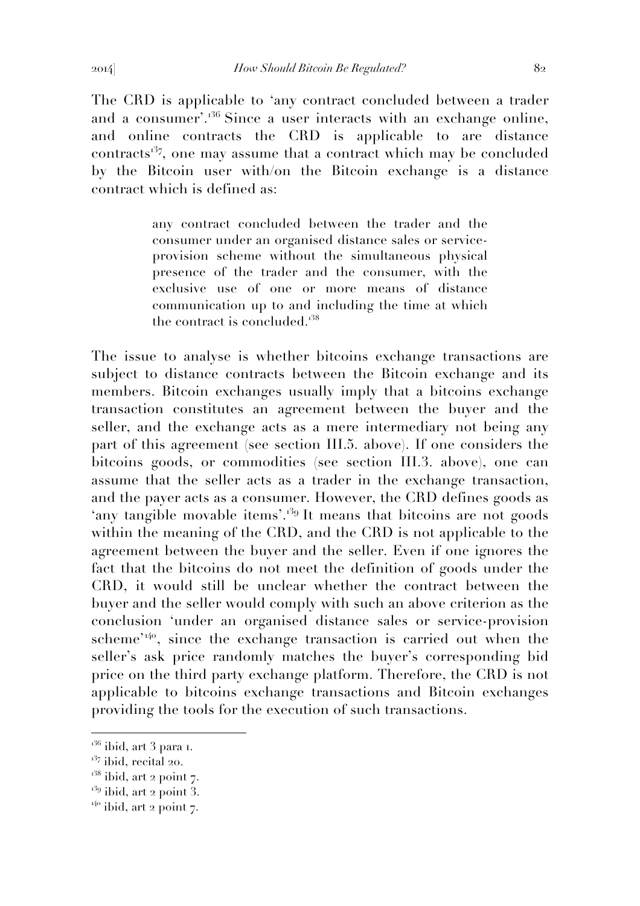The CRD is applicable to 'any contract concluded between a trader and a consumer'.<sup>36</sup> Since a user interacts with an exchange online, and online contracts the CRD is applicable to are distance contracts<sup>37</sup>, one may assume that a contract which may be concluded by the Bitcoin user with/on the Bitcoin exchange is a distance contract which is defined as:

> any contract concluded between the trader and the consumer under an organised distance sales or serviceprovision scheme without the simultaneous physical presence of the trader and the consumer, with the exclusive use of one or more means of distance communication up to and including the time at which the contract is concluded.<sup>138</sup>

The issue to analyse is whether bitcoins exchange transactions are subject to distance contracts between the Bitcoin exchange and its members. Bitcoin exchanges usually imply that a bitcoins exchange transaction constitutes an agreement between the buyer and the seller, and the exchange acts as a mere intermediary not being any part of this agreement (see section III.5. above). If one considers the bitcoins goods, or commodities (see section III.3. above), one can assume that the seller acts as a trader in the exchange transaction, and the payer acts as a consumer. However, the CRD defines goods as 'any tangible movable items'.<sup>139</sup> It means that bitcoins are not goods within the meaning of the CRD, and the CRD is not applicable to the agreement between the buyer and the seller. Even if one ignores the fact that the bitcoins do not meet the definition of goods under the CRD, it would still be unclear whether the contract between the buyer and the seller would comply with such an above criterion as the conclusion 'under an organised distance sales or service-provision scheme<sup>'140</sup>, since the exchange transaction is carried out when the seller's ask price randomly matches the buyer's corresponding bid price on the third party exchange platform. Therefore, the CRD is not applicable to bitcoins exchange transactions and Bitcoin exchanges providing the tools for the execution of such transactions.

 $136$  ibid, art 3 para 1.

 $137$  ibid, recital 20.

 $138$  ibid, art 2 point 7.

 $139$  ibid, art 2 point 3.

 $140$  ibid, art 2 point 7.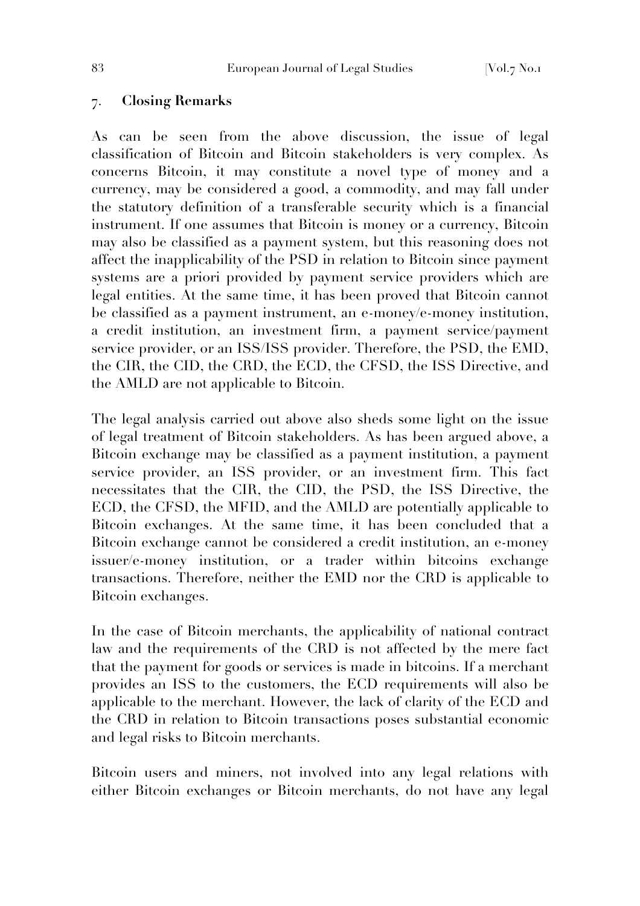### 7. **Closing Remarks**

As can be seen from the above discussion, the issue of legal classification of Bitcoin and Bitcoin stakeholders is very complex. As concerns Bitcoin, it may constitute a novel type of money and a currency, may be considered a good, a commodity, and may fall under the statutory definition of a transferable security which is a financial instrument. If one assumes that Bitcoin is money or a currency, Bitcoin may also be classified as a payment system, but this reasoning does not affect the inapplicability of the PSD in relation to Bitcoin since payment systems are a priori provided by payment service providers which are legal entities. At the same time, it has been proved that Bitcoin cannot be classified as a payment instrument, an e-money/e-money institution, a credit institution, an investment firm, a payment service/payment service provider, or an ISS/ISS provider. Therefore, the PSD, the EMD, the CIR, the CID, the CRD, the ECD, the CFSD, the ISS Directive, and the AMLD are not applicable to Bitcoin.

The legal analysis carried out above also sheds some light on the issue of legal treatment of Bitcoin stakeholders. As has been argued above, a Bitcoin exchange may be classified as a payment institution, a payment service provider, an ISS provider, or an investment firm. This fact necessitates that the CIR, the CID, the PSD, the ISS Directive, the ECD, the CFSD, the MFID, and the AMLD are potentially applicable to Bitcoin exchanges. At the same time, it has been concluded that a Bitcoin exchange cannot be considered a credit institution, an e-money issuer/e-money institution, or a trader within bitcoins exchange transactions. Therefore, neither the EMD nor the CRD is applicable to Bitcoin exchanges.

In the case of Bitcoin merchants, the applicability of national contract law and the requirements of the CRD is not affected by the mere fact that the payment for goods or services is made in bitcoins. If a merchant provides an ISS to the customers, the ECD requirements will also be applicable to the merchant. However, the lack of clarity of the ECD and the CRD in relation to Bitcoin transactions poses substantial economic and legal risks to Bitcoin merchants.

Bitcoin users and miners, not involved into any legal relations with either Bitcoin exchanges or Bitcoin merchants, do not have any legal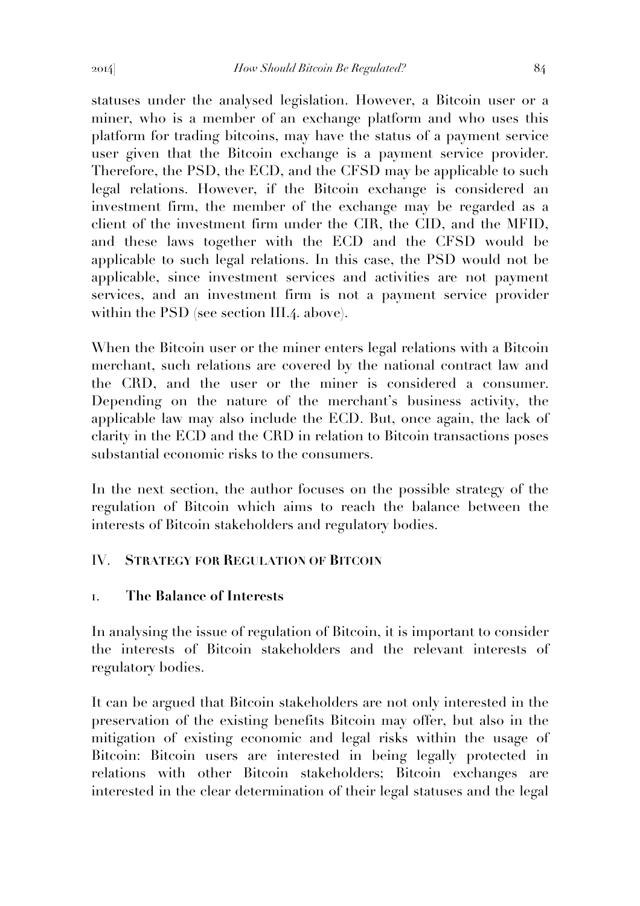statuses under the analysed legislation. However, a Bitcoin user or a miner, who is a member of an exchange platform and who uses this platform for trading bitcoins, may have the status of a payment service user given that the Bitcoin exchange is a payment service provider. Therefore, the PSD, the ECD, and the CFSD may be applicable to such legal relations. However, if the Bitcoin exchange is considered an investment firm, the member of the exchange may be regarded as a client of the investment firm under the CIR, the CID, and the MFID, and these laws together with the ECD and the CFSD would be applicable to such legal relations. In this case, the PSD would not be applicable, since investment services and activities are not payment services, and an investment firm is not a payment service provider within the PSD (see section III.4. above).

When the Bitcoin user or the miner enters legal relations with a Bitcoin merchant, such relations are covered by the national contract law and the CRD, and the user or the miner is considered a consumer. Depending on the nature of the merchant's business activity, the applicable law may also include the ECD. But, once again, the lack of clarity in the ECD and the CRD in relation to Bitcoin transactions poses substantial economic risks to the consumers.

In the next section, the author focuses on the possible strategy of the regulation of Bitcoin which aims to reach the balance between the interests of Bitcoin stakeholders and regulatory bodies.

# IV. **STRATEGY FOR REGULATION OF BITCOIN**

## 1. **The Balance of Interests**

In analysing the issue of regulation of Bitcoin, it is important to consider the interests of Bitcoin stakeholders and the relevant interests of regulatory bodies.

It can be argued that Bitcoin stakeholders are not only interested in the preservation of the existing benefits Bitcoin may offer, but also in the mitigation of existing economic and legal risks within the usage of Bitcoin: Bitcoin users are interested in being legally protected in relations with other Bitcoin stakeholders; Bitcoin exchanges are interested in the clear determination of their legal statuses and the legal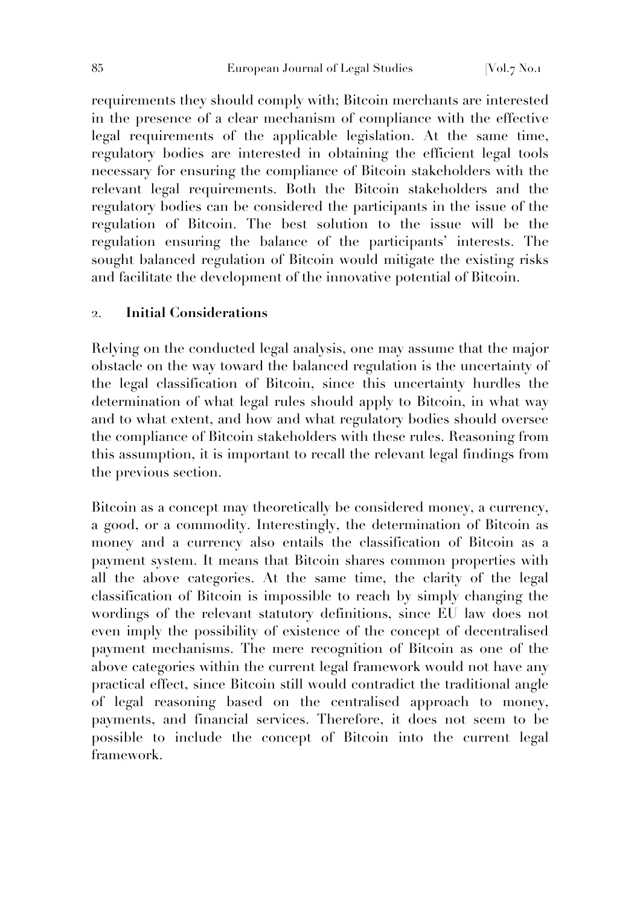requirements they should comply with; Bitcoin merchants are interested in the presence of a clear mechanism of compliance with the effective legal requirements of the applicable legislation. At the same time, regulatory bodies are interested in obtaining the efficient legal tools necessary for ensuring the compliance of Bitcoin stakeholders with the relevant legal requirements. Both the Bitcoin stakeholders and the regulatory bodies can be considered the participants in the issue of the regulation of Bitcoin. The best solution to the issue will be the regulation ensuring the balance of the participants' interests. The sought balanced regulation of Bitcoin would mitigate the existing risks and facilitate the development of the innovative potential of Bitcoin.

## 2. **Initial Considerations**

Relying on the conducted legal analysis, one may assume that the major obstacle on the way toward the balanced regulation is the uncertainty of the legal classification of Bitcoin, since this uncertainty hurdles the determination of what legal rules should apply to Bitcoin, in what way and to what extent, and how and what regulatory bodies should oversee the compliance of Bitcoin stakeholders with these rules. Reasoning from this assumption, it is important to recall the relevant legal findings from the previous section.

Bitcoin as a concept may theoretically be considered money, a currency, a good, or a commodity. Interestingly, the determination of Bitcoin as money and a currency also entails the classification of Bitcoin as a payment system. It means that Bitcoin shares common properties with all the above categories. At the same time, the clarity of the legal classification of Bitcoin is impossible to reach by simply changing the wordings of the relevant statutory definitions, since EU law does not even imply the possibility of existence of the concept of decentralised payment mechanisms. The mere recognition of Bitcoin as one of the above categories within the current legal framework would not have any practical effect, since Bitcoin still would contradict the traditional angle of legal reasoning based on the centralised approach to money, payments, and financial services. Therefore, it does not seem to be possible to include the concept of Bitcoin into the current legal framework.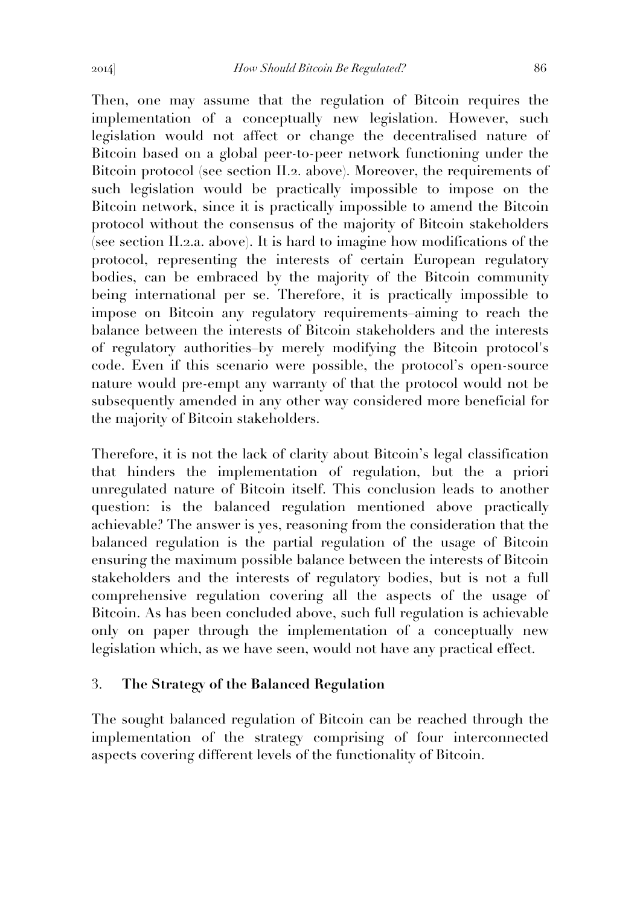Then, one may assume that the regulation of Bitcoin requires the implementation of a conceptually new legislation. However, such legislation would not affect or change the decentralised nature of Bitcoin based on a global peer-to-peer network functioning under the Bitcoin protocol (see section II.2. above). Moreover, the requirements of such legislation would be practically impossible to impose on the Bitcoin network, since it is practically impossible to amend the Bitcoin protocol without the consensus of the majority of Bitcoin stakeholders (see section II.2.a. above). It is hard to imagine how modifications of the protocol, representing the interests of certain European regulatory bodies, can be embraced by the majority of the Bitcoin community being international per se. Therefore, it is practically impossible to impose on Bitcoin any regulatory requirements–aiming to reach the balance between the interests of Bitcoin stakeholders and the interests of regulatory authorities–by merely modifying the Bitcoin protocol's code. Even if this scenario were possible, the protocol's open-source nature would pre-empt any warranty of that the protocol would not be subsequently amended in any other way considered more beneficial for the majority of Bitcoin stakeholders.

Therefore, it is not the lack of clarity about Bitcoin's legal classification that hinders the implementation of regulation, but the a priori unregulated nature of Bitcoin itself. This conclusion leads to another question: is the balanced regulation mentioned above practically achievable? The answer is yes, reasoning from the consideration that the balanced regulation is the partial regulation of the usage of Bitcoin ensuring the maximum possible balance between the interests of Bitcoin stakeholders and the interests of regulatory bodies, but is not a full comprehensive regulation covering all the aspects of the usage of Bitcoin. As has been concluded above, such full regulation is achievable only on paper through the implementation of a conceptually new legislation which, as we have seen, would not have any practical effect.

## 3. **The Strategy of the Balanced Regulation**

The sought balanced regulation of Bitcoin can be reached through the implementation of the strategy comprising of four interconnected aspects covering different levels of the functionality of Bitcoin.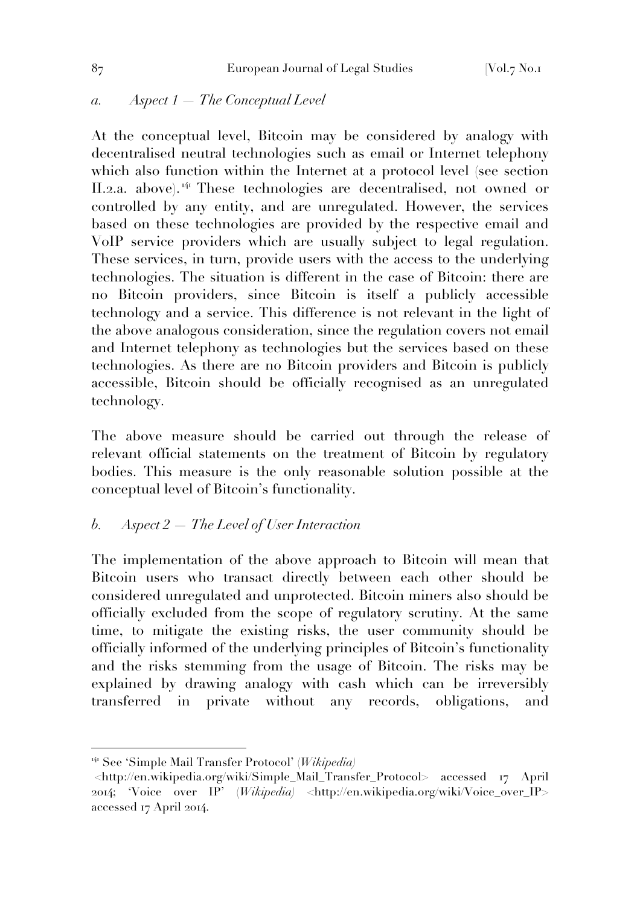### *a. Aspect 1 — The Conceptual Level*

At the conceptual level, Bitcoin may be considered by analogy with decentralised neutral technologies such as email or Internet telephony which also function within the Internet at a protocol level (see section II.2.a. above). <sup>141</sup> These technologies are decentralised, not owned or controlled by any entity, and are unregulated. However, the services based on these technologies are provided by the respective email and VoIP service providers which are usually subject to legal regulation. These services, in turn, provide users with the access to the underlying technologies. The situation is different in the case of Bitcoin: there are no Bitcoin providers, since Bitcoin is itself a publicly accessible technology and a service. This difference is not relevant in the light of the above analogous consideration, since the regulation covers not email and Internet telephony as technologies but the services based on these technologies. As there are no Bitcoin providers and Bitcoin is publicly accessible, Bitcoin should be officially recognised as an unregulated technology.

The above measure should be carried out through the release of relevant official statements on the treatment of Bitcoin by regulatory bodies. This measure is the only reasonable solution possible at the conceptual level of Bitcoin's functionality.

## *b. Aspect 2 — The Level of User Interaction*

The implementation of the above approach to Bitcoin will mean that Bitcoin users who transact directly between each other should be considered unregulated and unprotected. Bitcoin miners also should be officially excluded from the scope of regulatory scrutiny. At the same time, to mitigate the existing risks, the user community should be officially informed of the underlying principles of Bitcoin's functionality and the risks stemming from the usage of Bitcoin. The risks may be explained by drawing analogy with cash which can be irreversibly transferred in private without any records, obligations, and

<sup>141</sup> See 'Simple Mail Transfer Protocol' (*Wikipedia)*

<sup>&</sup>lt;http://en.wikipedia.org/wiki/Simple\_Mail\_Transfer\_Protocol> accessed 17 April 2014; 'Voice over IP' (*Wikipedia)* <http://en.wikipedia.org/wiki/Voice\_over\_IP> accessed 17 April 2014.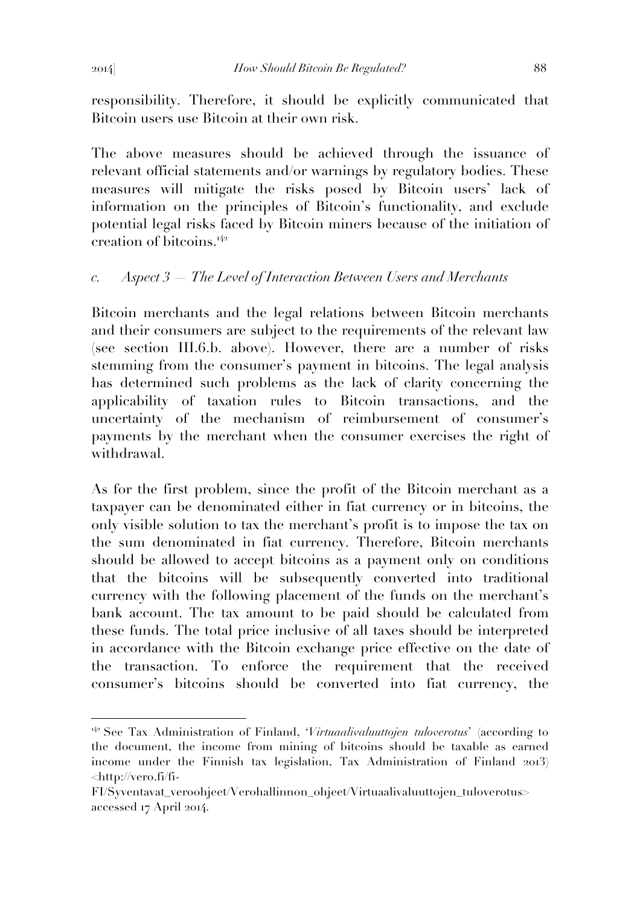responsibility. Therefore, it should be explicitly communicated that Bitcoin users use Bitcoin at their own risk.

The above measures should be achieved through the issuance of relevant official statements and/or warnings by regulatory bodies. These measures will mitigate the risks posed by Bitcoin users' lack of information on the principles of Bitcoin's functionality, and exclude potential legal risks faced by Bitcoin miners because of the initiation of creation of bitcoins.<sup>142</sup>

# *c. Aspect 3 — The Level of Interaction Between Users and Merchants*

Bitcoin merchants and the legal relations between Bitcoin merchants and their consumers are subject to the requirements of the relevant law (see section III.6.b. above). However, there are a number of risks stemming from the consumer's payment in bitcoins. The legal analysis has determined such problems as the lack of clarity concerning the applicability of taxation rules to Bitcoin transactions, and the uncertainty of the mechanism of reimbursement of consumer's payments by the merchant when the consumer exercises the right of withdrawal.

As for the first problem, since the profit of the Bitcoin merchant as a taxpayer can be denominated either in fiat currency or in bitcoins, the only visible solution to tax the merchant's profit is to impose the tax on the sum denominated in fiat currency. Therefore, Bitcoin merchants should be allowed to accept bitcoins as a payment only on conditions that the bitcoins will be subsequently converted into traditional currency with the following placement of the funds on the merchant's bank account. The tax amount to be paid should be calculated from these funds. The total price inclusive of all taxes should be interpreted in accordance with the Bitcoin exchange price effective on the date of the transaction. To enforce the requirement that the received consumer's bitcoins should be converted into fiat currency, the

<sup>&</sup>lt;sup>142</sup> See Tax Administration of Finland, '*Virtuaalivaluuttojen tuloverotus*' (according to the document, the income from mining of bitcoins should be taxable as earned income under the Finnish tax legislation, Tax Administration of Finland 2013) <http://vero.fi/fi-

FI/Syventavat\_veroohjeet/Verohallinnon\_ohjeet/Virtuaalivaluuttojen\_tuloverotus> accessed 17 April 2014.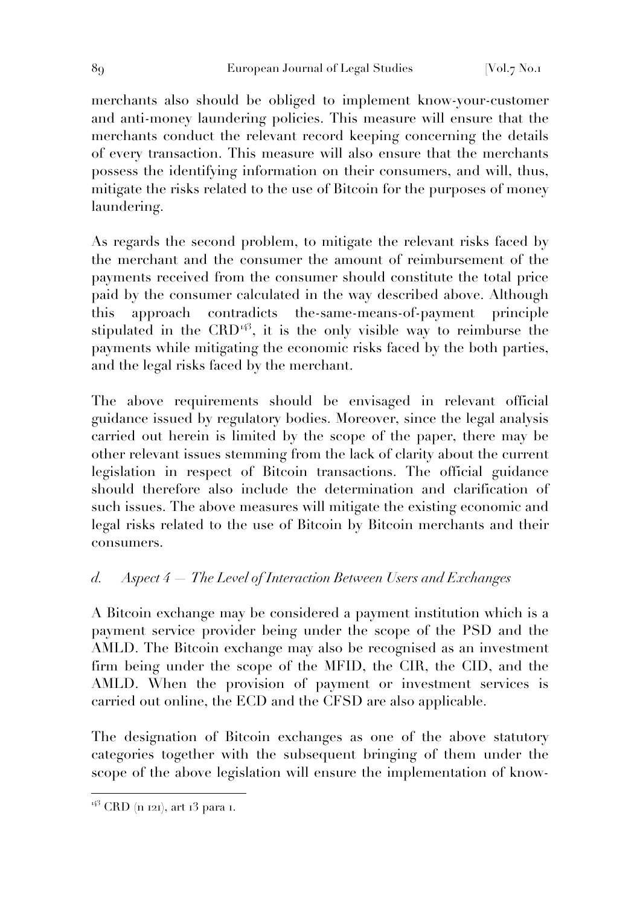merchants also should be obliged to implement know-your-customer and anti-money laundering policies. This measure will ensure that the merchants conduct the relevant record keeping concerning the details of every transaction. This measure will also ensure that the merchants possess the identifying information on their consumers, and will, thus, mitigate the risks related to the use of Bitcoin for the purposes of money laundering.

As regards the second problem, to mitigate the relevant risks faced by the merchant and the consumer the amount of reimbursement of the payments received from the consumer should constitute the total price paid by the consumer calculated in the way described above. Although this approach contradicts the-same-means-of-payment principle stipulated in the CRD<sup> $43$ </sup>, it is the only visible way to reimburse the payments while mitigating the economic risks faced by the both parties, and the legal risks faced by the merchant.

The above requirements should be envisaged in relevant official guidance issued by regulatory bodies. Moreover, since the legal analysis carried out herein is limited by the scope of the paper, there may be other relevant issues stemming from the lack of clarity about the current legislation in respect of Bitcoin transactions. The official guidance should therefore also include the determination and clarification of such issues. The above measures will mitigate the existing economic and legal risks related to the use of Bitcoin by Bitcoin merchants and their consumers.

# *d. Aspect 4 — The Level of Interaction Between Users and Exchanges*

A Bitcoin exchange may be considered a payment institution which is a payment service provider being under the scope of the PSD and the AMLD. The Bitcoin exchange may also be recognised as an investment firm being under the scope of the MFID, the CIR, the CID, and the AMLD. When the provision of payment or investment services is carried out online, the ECD and the CFSD are also applicable.

The designation of Bitcoin exchanges as one of the above statutory categories together with the subsequent bringing of them under the scope of the above legislation will ensure the implementation of know-

<sup>143</sup> CRD (n 121), art 13 para 1.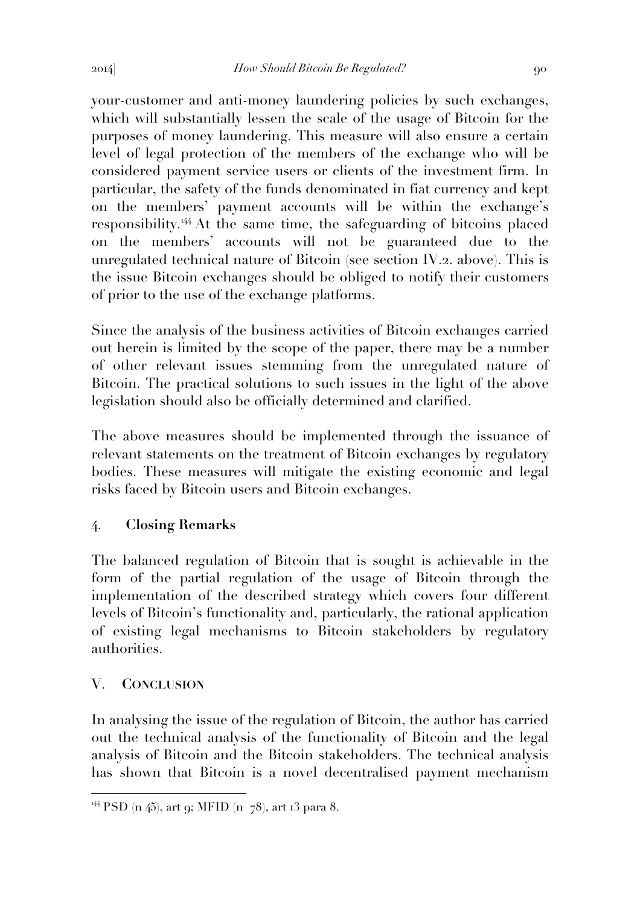your-customer and anti-money laundering policies by such exchanges, which will substantially lessen the scale of the usage of Bitcoin for the purposes of money laundering. This measure will also ensure a certain level of legal protection of the members of the exchange who will be considered payment service users or clients of the investment firm. In particular, the safety of the funds denominated in fiat currency and kept on the members' payment accounts will be within the exchange's responsibility.<sup>144</sup> At the same time, the safeguarding of bitcoins placed on the members' accounts will not be guaranteed due to the unregulated technical nature of Bitcoin (see section IV.2. above). This is the issue Bitcoin exchanges should be obliged to notify their customers of prior to the use of the exchange platforms.

Since the analysis of the business activities of Bitcoin exchanges carried out herein is limited by the scope of the paper, there may be a number of other relevant issues stemming from the unregulated nature of Bitcoin. The practical solutions to such issues in the light of the above legislation should also be officially determined and clarified.

The above measures should be implemented through the issuance of relevant statements on the treatment of Bitcoin exchanges by regulatory bodies. These measures will mitigate the existing economic and legal risks faced by Bitcoin users and Bitcoin exchanges.

# 4. **Closing Remarks**

The balanced regulation of Bitcoin that is sought is achievable in the form of the partial regulation of the usage of Bitcoin through the implementation of the described strategy which covers four different levels of Bitcoin's functionality and, particularly, the rational application of existing legal mechanisms to Bitcoin stakeholders by regulatory authorities.

# V. **CONCLUSION**

 $\overline{a}$ 

In analysing the issue of the regulation of Bitcoin, the author has carried out the technical analysis of the functionality of Bitcoin and the legal analysis of Bitcoin and the Bitcoin stakeholders. The technical analysis has shown that Bitcoin is a novel decentralised payment mechanism

<sup>&</sup>lt;sup>144</sup> PSD (n 45), art 9; MFID (n  $-78$ ), art 13 para 8.